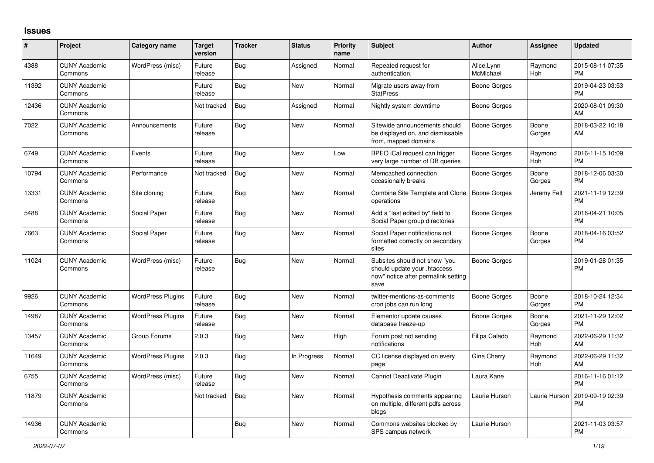## **Issues**

| ∦     | Project                         | <b>Category name</b>     | <b>Target</b><br>version | <b>Tracker</b> | <b>Status</b> | <b>Priority</b><br>name | <b>Subject</b>                                                                                               | <b>Author</b>           | <b>Assignee</b> | <b>Updated</b>                |
|-------|---------------------------------|--------------------------|--------------------------|----------------|---------------|-------------------------|--------------------------------------------------------------------------------------------------------------|-------------------------|-----------------|-------------------------------|
| 4388  | <b>CUNY Academic</b><br>Commons | WordPress (misc)         | Future<br>release        | Bug            | Assigned      | Normal                  | Repeated request for<br>authentication.                                                                      | Alice.Lynn<br>McMichael | Raymond<br>Hoh  | 2015-08-11 07:35<br><b>PM</b> |
| 11392 | <b>CUNY Academic</b><br>Commons |                          | Future<br>release        | <b>Bug</b>     | <b>New</b>    | Normal                  | Migrate users away from<br><b>StatPress</b>                                                                  | <b>Boone Gorges</b>     |                 | 2019-04-23 03:53<br><b>PM</b> |
| 12436 | <b>CUNY Academic</b><br>Commons |                          | Not tracked              | Bug            | Assigned      | Normal                  | Nightly system downtime                                                                                      | <b>Boone Gorges</b>     |                 | 2020-08-01 09:30<br>AM        |
| 7022  | <b>CUNY Academic</b><br>Commons | Announcements            | Future<br>release        | Bug            | <b>New</b>    | Normal                  | Sitewide announcements should<br>be displayed on, and dismissable<br>from, mapped domains                    | Boone Gorges            | Boone<br>Gorges | 2018-03-22 10:18<br>AM        |
| 6749  | <b>CUNY Academic</b><br>Commons | Events                   | Future<br>release        | Bug            | <b>New</b>    | Low                     | BPEO iCal request can trigger<br>very large number of DB queries                                             | <b>Boone Gorges</b>     | Raymond<br>Hoh  | 2016-11-15 10:09<br><b>PM</b> |
| 10794 | <b>CUNY Academic</b><br>Commons | Performance              | Not tracked              | <b>Bug</b>     | <b>New</b>    | Normal                  | Memcached connection<br>occasionally breaks                                                                  | Boone Gorges            | Boone<br>Gorges | 2018-12-06 03:30<br><b>PM</b> |
| 13331 | <b>CUNY Academic</b><br>Commons | Site cloning             | Future<br>release        | Bug            | <b>New</b>    | Normal                  | Combine Site Template and Clone<br>operations                                                                | <b>Boone Gorges</b>     | Jeremy Felt     | 2021-11-19 12:39<br><b>PM</b> |
| 5488  | <b>CUNY Academic</b><br>Commons | Social Paper             | Future<br>release        | Bug            | <b>New</b>    | Normal                  | Add a "last edited by" field to<br>Social Paper group directories                                            | <b>Boone Gorges</b>     |                 | 2016-04-21 10:05<br><b>PM</b> |
| 7663  | <b>CUNY Academic</b><br>Commons | Social Paper             | Future<br>release        | Bug            | <b>New</b>    | Normal                  | Social Paper notifications not<br>formatted correctly on secondary<br>sites                                  | <b>Boone Gorges</b>     | Boone<br>Gorges | 2018-04-16 03:52<br>PM        |
| 11024 | <b>CUNY Academic</b><br>Commons | WordPress (misc)         | Future<br>release        | <b>Bug</b>     | <b>New</b>    | Normal                  | Subsites should not show "you<br>should update your .htaccess<br>now" notice after permalink setting<br>save | <b>Boone Gorges</b>     |                 | 2019-01-28 01:35<br><b>PM</b> |
| 9926  | <b>CUNY Academic</b><br>Commons | <b>WordPress Plugins</b> | Future<br>release        | <b>Bug</b>     | <b>New</b>    | Normal                  | twitter-mentions-as-comments<br>cron jobs can run long                                                       | Boone Gorges            | Boone<br>Gorges | 2018-10-24 12:34<br><b>PM</b> |
| 14987 | <b>CUNY Academic</b><br>Commons | <b>WordPress Plugins</b> | Future<br>release        | Bug            | <b>New</b>    | Normal                  | Elementor update causes<br>database freeze-up                                                                | Boone Gorges            | Boone<br>Gorges | 2021-11-29 12:02<br><b>PM</b> |
| 13457 | <b>CUNY Academic</b><br>Commons | Group Forums             | 2.0.3                    | Bug            | <b>New</b>    | High                    | Forum post not sending<br>notifications                                                                      | Filipa Calado           | Raymond<br>Hoh  | 2022-06-29 11:32<br>AM        |
| 11649 | <b>CUNY Academic</b><br>Commons | <b>WordPress Plugins</b> | 2.0.3                    | <b>Bug</b>     | In Progress   | Normal                  | CC license displayed on every<br>page                                                                        | Gina Cherry             | Raymond<br>Hoh  | 2022-06-29 11:32<br>AM        |
| 6755  | <b>CUNY Academic</b><br>Commons | WordPress (misc)         | Future<br>release        | Bug            | <b>New</b>    | Normal                  | Cannot Deactivate Plugin                                                                                     | Laura Kane              |                 | 2016-11-16 01:12<br><b>PM</b> |
| 11879 | <b>CUNY Academic</b><br>Commons |                          | Not tracked              | <b>Bug</b>     | <b>New</b>    | Normal                  | Hypothesis comments appearing<br>on multiple, different pdfs across<br>blogs                                 | Laurie Hurson           | Laurie Hurson   | 2019-09-19 02:39<br><b>PM</b> |
| 14936 | <b>CUNY Academic</b><br>Commons |                          |                          | <b>Bug</b>     | <b>New</b>    | Normal                  | Commons websites blocked by<br>SPS campus network                                                            | Laurie Hurson           |                 | 2021-11-03 03:57<br><b>PM</b> |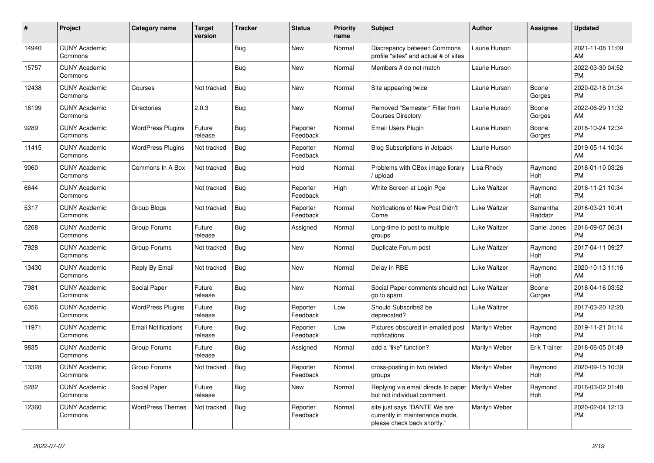| #     | Project                         | <b>Category name</b>       | <b>Target</b><br>version | <b>Tracker</b> | <b>Status</b>        | <b>Priority</b><br>name | <b>Subject</b>                                                                                | <b>Author</b> | Assignee            | <b>Updated</b>                |
|-------|---------------------------------|----------------------------|--------------------------|----------------|----------------------|-------------------------|-----------------------------------------------------------------------------------------------|---------------|---------------------|-------------------------------|
| 14940 | <b>CUNY Academic</b><br>Commons |                            |                          | Bug            | <b>New</b>           | Normal                  | Discrepancy between Commons<br>profile "sites" and actual # of sites                          | Laurie Hurson |                     | 2021-11-08 11:09<br>AM        |
| 15757 | <b>CUNY Academic</b><br>Commons |                            |                          | Bug            | New                  | Normal                  | Members # do not match                                                                        | Laurie Hurson |                     | 2022-03-30 04:52<br><b>PM</b> |
| 12438 | <b>CUNY Academic</b><br>Commons | Courses                    | Not tracked              | <b>Bug</b>     | <b>New</b>           | Normal                  | Site appearing twice                                                                          | Laurie Hurson | Boone<br>Gorges     | 2020-02-18 01:34<br><b>PM</b> |
| 16199 | <b>CUNY Academic</b><br>Commons | <b>Directories</b>         | 2.0.3                    | Bug            | New                  | Normal                  | Removed "Semester" Filter from<br><b>Courses Directory</b>                                    | Laurie Hurson | Boone<br>Gorges     | 2022-06-29 11:32<br>AM        |
| 9289  | <b>CUNY Academic</b><br>Commons | <b>WordPress Plugins</b>   | Future<br>release        | Bug            | Reporter<br>Feedback | Normal                  | Email Users Plugin                                                                            | Laurie Hurson | Boone<br>Gorges     | 2018-10-24 12:34<br><b>PM</b> |
| 11415 | <b>CUNY Academic</b><br>Commons | <b>WordPress Plugins</b>   | Not tracked              | <b>Bug</b>     | Reporter<br>Feedback | Normal                  | <b>Blog Subscriptions in Jetpack</b>                                                          | Laurie Hurson |                     | 2019-05-14 10:34<br>AM        |
| 9060  | <b>CUNY Academic</b><br>Commons | Commons In A Box           | Not tracked              | <b>Bug</b>     | Hold                 | Normal                  | Problems with CBox image library<br>/ upload                                                  | Lisa Rhody    | Raymond<br>Hoh      | 2018-01-10 03:26<br><b>PM</b> |
| 6644  | <b>CUNY Academic</b><br>Commons |                            | Not tracked              | <b>Bug</b>     | Reporter<br>Feedback | High                    | White Screen at Login Pge                                                                     | Luke Waltzer  | Raymond<br>Hoh      | 2016-11-21 10:34<br><b>PM</b> |
| 5317  | <b>CUNY Academic</b><br>Commons | Group Blogs                | Not tracked              | Bug            | Reporter<br>Feedback | Normal                  | Notifications of New Post Didn't<br>Come                                                      | Luke Waltzer  | Samantha<br>Raddatz | 2016-03-21 10:41<br><b>PM</b> |
| 5268  | <b>CUNY Academic</b><br>Commons | Group Forums               | Future<br>release        | <b>Bug</b>     | Assigned             | Normal                  | Long-time to post to multiple<br>groups                                                       | Luke Waltzer  | Daniel Jones        | 2016-09-07 06:31<br><b>PM</b> |
| 7928  | <b>CUNY Academic</b><br>Commons | Group Forums               | Not tracked              | Bug            | <b>New</b>           | Normal                  | Duplicate Forum post                                                                          | Luke Waltzer  | Raymond<br>Hoh      | 2017-04-11 09:27<br><b>PM</b> |
| 13430 | <b>CUNY Academic</b><br>Commons | Reply By Email             | Not tracked              | <b>Bug</b>     | New                  | Normal                  | Delay in RBE                                                                                  | Luke Waltzer  | Raymond<br>Hoh      | 2020-10-13 11:16<br>AM        |
| 7981  | <b>CUNY Academic</b><br>Commons | Social Paper               | Future<br>release        | <b>Bug</b>     | <b>New</b>           | Normal                  | Social Paper comments should not<br>go to spam                                                | Luke Waltzer  | Boone<br>Gorges     | 2018-04-16 03:52<br><b>PM</b> |
| 6356  | <b>CUNY Academic</b><br>Commons | <b>WordPress Plugins</b>   | Future<br>release        | Bug            | Reporter<br>Feedback | Low                     | Should Subscribe2 be<br>deprecated?                                                           | Luke Waltzer  |                     | 2017-03-20 12:20<br><b>PM</b> |
| 11971 | <b>CUNY Academic</b><br>Commons | <b>Email Notifications</b> | Future<br>release        | <b>Bug</b>     | Reporter<br>Feedback | Low                     | Pictures obscured in emailed post<br>notifications                                            | Marilyn Weber | Raymond<br>Hoh      | 2019-11-21 01:14<br><b>PM</b> |
| 9835  | <b>CUNY Academic</b><br>Commons | Group Forums               | Future<br>release        | Bug            | Assigned             | Normal                  | add a "like" function?                                                                        | Marilyn Weber | <b>Erik Trainer</b> | 2018-06-05 01:49<br><b>PM</b> |
| 13328 | <b>CUNY Academic</b><br>Commons | Group Forums               | Not tracked              | Bug            | Reporter<br>Feedback | Normal                  | cross-posting in two related<br>groups                                                        | Marilyn Weber | Raymond<br>Hoh      | 2020-09-15 10:39<br><b>PM</b> |
| 5282  | <b>CUNY Academic</b><br>Commons | Social Paper               | Future<br>release        | Bug            | <b>New</b>           | Normal                  | Replying via email directs to paper<br>but not individual comment.                            | Marilyn Weber | Raymond<br>Hoh      | 2016-03-02 01:48<br><b>PM</b> |
| 12360 | <b>CUNY Academic</b><br>Commons | <b>WordPress Themes</b>    | Not tracked              | Bug            | Reporter<br>Feedback | Normal                  | site just says "DANTE We are<br>currently in maintenance mode,<br>please check back shortly." | Marilyn Weber |                     | 2020-02-04 12:13<br><b>PM</b> |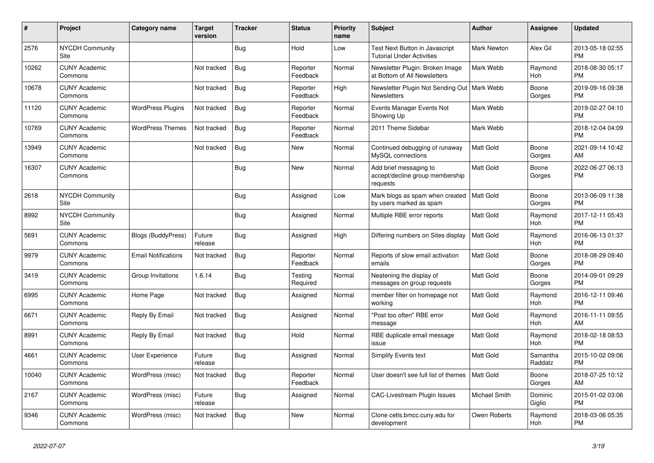| ∦     | Project                         | <b>Category name</b>       | <b>Target</b><br>version | <b>Tracker</b> | <b>Status</b>        | <b>Priority</b><br>name | <b>Subject</b>                                                         | <b>Author</b>      | <b>Assignee</b>     | <b>Updated</b>                |
|-------|---------------------------------|----------------------------|--------------------------|----------------|----------------------|-------------------------|------------------------------------------------------------------------|--------------------|---------------------|-------------------------------|
| 2576  | <b>NYCDH Community</b><br>Site  |                            |                          | <b>Bug</b>     | Hold                 | Low                     | Test Next Button in Javascript<br><b>Tutorial Under Activities</b>     | <b>Mark Newton</b> | Alex Gil            | 2013-05-18 02:55<br><b>PM</b> |
| 10262 | <b>CUNY Academic</b><br>Commons |                            | Not tracked              | Bug            | Reporter<br>Feedback | Normal                  | Newsletter Plugin: Broken Image<br>at Bottom of All Newsletters        | Mark Webb          | Raymond<br>Hoh      | 2018-08-30 05:17<br><b>PM</b> |
| 10678 | <b>CUNY Academic</b><br>Commons |                            | Not tracked              | <b>Bug</b>     | Reporter<br>Feedback | High                    | Newsletter Plugin Not Sending Out   Mark Webb<br><b>Newsletters</b>    |                    | Boone<br>Gorges     | 2019-09-16 09:38<br><b>PM</b> |
| 11120 | <b>CUNY Academic</b><br>Commons | <b>WordPress Plugins</b>   | Not tracked              | <b>Bug</b>     | Reporter<br>Feedback | Normal                  | Events Manager Events Not<br>Showing Up                                | Mark Webb          |                     | 2019-02-27 04:10<br><b>PM</b> |
| 10769 | <b>CUNY Academic</b><br>Commons | <b>WordPress Themes</b>    | Not tracked              | Bug            | Reporter<br>Feedback | Normal                  | 2011 Theme Sidebar                                                     | Mark Webb          |                     | 2018-12-04 04:09<br><b>PM</b> |
| 13949 | <b>CUNY Academic</b><br>Commons |                            | Not tracked              | <b>Bug</b>     | <b>New</b>           | Normal                  | Continued debugging of runaway<br>MySQL connections                    | Matt Gold          | Boone<br>Gorges     | 2021-09-14 10:42<br>AM        |
| 16307 | <b>CUNY Academic</b><br>Commons |                            |                          | Bug            | <b>New</b>           | Normal                  | Add brief messaging to<br>accept/decline group membership<br>requests  | <b>Matt Gold</b>   | Boone<br>Gorges     | 2022-06-27 06:13<br><b>PM</b> |
| 2618  | <b>NYCDH Community</b><br>Site  |                            |                          | <b>Bug</b>     | Assigned             | Low                     | Mark blogs as spam when created   Matt Gold<br>by users marked as spam |                    | Boone<br>Gorges     | 2013-06-09 11:38<br><b>PM</b> |
| 8992  | NYCDH Community<br>Site         |                            |                          | Bug            | Assigned             | Normal                  | Multiple RBE error reports                                             | <b>Matt Gold</b>   | Raymond<br>Hoh      | 2017-12-11 05:43<br><b>PM</b> |
| 5691  | <b>CUNY Academic</b><br>Commons | <b>Blogs (BuddyPress)</b>  | Future<br>release        | <b>Bug</b>     | Assigned             | High                    | Differing numbers on Sites display                                     | Matt Gold          | Raymond<br>Hoh      | 2016-06-13 01:37<br><b>PM</b> |
| 9979  | <b>CUNY Academic</b><br>Commons | <b>Email Notifications</b> | Not tracked              | <b>Bug</b>     | Reporter<br>Feedback | Normal                  | Reports of slow email activation<br>emails                             | <b>Matt Gold</b>   | Boone<br>Gorges     | 2018-08-29 09:40<br><b>PM</b> |
| 3419  | <b>CUNY Academic</b><br>Commons | Group Invitations          | 1.6.14                   | Bug            | Testing<br>Required  | Normal                  | Neatening the display of<br>messages on group requests                 | <b>Matt Gold</b>   | Boone<br>Gorges     | 2014-09-01 09:29<br><b>PM</b> |
| 6995  | <b>CUNY Academic</b><br>Commons | Home Page                  | Not tracked              | <b>Bug</b>     | Assigned             | Normal                  | member filter on homepage not<br>working                               | <b>Matt Gold</b>   | Raymond<br>Hoh      | 2016-12-11 09:46<br>PM        |
| 6671  | <b>CUNY Academic</b><br>Commons | Reply By Email             | Not tracked              | Bug            | Assigned             | Normal                  | "Post too often" RBE error<br>message                                  | Matt Gold          | Raymond<br>Hoh      | 2016-11-11 09:55<br>AM        |
| 8991  | <b>CUNY Academic</b><br>Commons | Reply By Email             | Not tracked              | Bug            | Hold                 | Normal                  | RBE duplicate email message<br>issue                                   | Matt Gold          | Raymond<br>Hoh      | 2018-02-18 08:53<br><b>PM</b> |
| 4661  | <b>CUNY Academic</b><br>Commons | <b>User Experience</b>     | Future<br>release        | <b>Bug</b>     | Assigned             | Normal                  | Simplify Events text                                                   | <b>Matt Gold</b>   | Samantha<br>Raddatz | 2015-10-02 09:06<br><b>PM</b> |
| 10040 | <b>CUNY Academic</b><br>Commons | WordPress (misc)           | Not tracked              | Bug            | Reporter<br>Feedback | Normal                  | User doesn't see full list of themes                                   | <b>Matt Gold</b>   | Boone<br>Gorges     | 2018-07-25 10:12<br>AM        |
| 2167  | <b>CUNY Academic</b><br>Commons | WordPress (misc)           | Future<br>release        | <b>Bug</b>     | Assigned             | Normal                  | <b>CAC-Livestream Plugin Issues</b>                                    | Michael Smith      | Dominic<br>Giglio   | 2015-01-02 03:06<br><b>PM</b> |
| 9346  | <b>CUNY Academic</b><br>Commons | WordPress (misc)           | Not tracked              | <b>Bug</b>     | <b>New</b>           | Normal                  | Clone cetls.bmcc.cuny.edu for<br>development                           | Owen Roberts       | Raymond<br>Hoh      | 2018-03-06 05:35<br><b>PM</b> |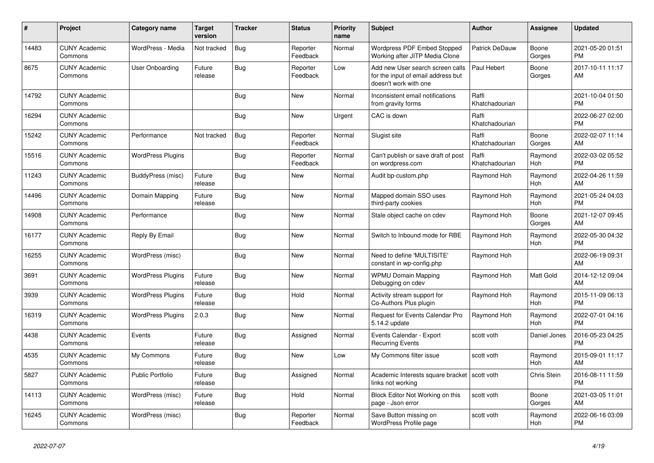| #     | Project                         | Category name            | <b>Target</b><br>version | <b>Tracker</b> | <b>Status</b>        | <b>Priority</b><br>name | <b>Subject</b>                                                                                  | Author                  | Assignee        | <b>Updated</b>                |
|-------|---------------------------------|--------------------------|--------------------------|----------------|----------------------|-------------------------|-------------------------------------------------------------------------------------------------|-------------------------|-----------------|-------------------------------|
| 14483 | <b>CUNY Academic</b><br>Commons | WordPress - Media        | Not tracked              | <b>Bug</b>     | Reporter<br>Feedback | Normal                  | Wordpress PDF Embed Stopped<br>Working after JITP Media Clone                                   | Patrick DeDauw          | Boone<br>Gorges | 2021-05-20 01:51<br><b>PM</b> |
| 8675  | <b>CUNY Academic</b><br>Commons | User Onboarding          | Future<br>release        | <b>Bug</b>     | Reporter<br>Feedback | Low                     | Add new User search screen calls<br>for the input of email address but<br>doesn't work with one | Paul Hebert             | Boone<br>Gorges | 2017-10-11 11:17<br>AM        |
| 14792 | <b>CUNY Academic</b><br>Commons |                          |                          | Bug            | <b>New</b>           | Normal                  | Inconsistent email notifications<br>from gravity forms                                          | Raffi<br>Khatchadourian |                 | 2021-10-04 01:50<br><b>PM</b> |
| 16294 | <b>CUNY Academic</b><br>Commons |                          |                          | <b>Bug</b>     | <b>New</b>           | Urgent                  | CAC is down                                                                                     | Raffi<br>Khatchadourian |                 | 2022-06-27 02:00<br><b>PM</b> |
| 15242 | <b>CUNY Academic</b><br>Commons | Performance              | Not tracked              | <b>Bug</b>     | Reporter<br>Feedback | Normal                  | Slugist site                                                                                    | Raffi<br>Khatchadourian | Boone<br>Gorges | 2022-02-07 11:14<br>AM        |
| 15516 | <b>CUNY Academic</b><br>Commons | <b>WordPress Plugins</b> |                          | Bug            | Reporter<br>Feedback | Normal                  | Can't publish or save draft of post<br>on wordpress.com                                         | Raffi<br>Khatchadourian | Raymond<br>Hoh  | 2022-03-02 05:52<br><b>PM</b> |
| 11243 | <b>CUNY Academic</b><br>Commons | BuddyPress (misc)        | Future<br>release        | <b>Bug</b>     | <b>New</b>           | Normal                  | Audit bp-custom.php                                                                             | Raymond Hoh             | Raymond<br>Hoh  | 2022-04-26 11:59<br>AM        |
| 14496 | <b>CUNY Academic</b><br>Commons | Domain Mapping           | Future<br>release        | Bug            | New                  | Normal                  | Mapped domain SSO uses<br>third-party cookies                                                   | Raymond Hoh             | Raymond<br>Hoh  | 2021-05-24 04:03<br><b>PM</b> |
| 14908 | <b>CUNY Academic</b><br>Commons | Performance              |                          | <b>Bug</b>     | New                  | Normal                  | Stale object cache on cdev                                                                      | Raymond Hoh             | Boone<br>Gorges | 2021-12-07 09:45<br>AM        |
| 16177 | <b>CUNY Academic</b><br>Commons | Reply By Email           |                          | <b>Bug</b>     | <b>New</b>           | Normal                  | Switch to Inbound mode for RBE                                                                  | Raymond Hoh             | Raymond<br>Hoh  | 2022-05-30 04:32<br><b>PM</b> |
| 16255 | <b>CUNY Academic</b><br>Commons | WordPress (misc)         |                          | Bug            | New                  | Normal                  | Need to define 'MULTISITE'<br>constant in wp-config.php                                         | Raymond Hoh             |                 | 2022-06-19 09:31<br>AM        |
| 3691  | <b>CUNY Academic</b><br>Commons | <b>WordPress Plugins</b> | Future<br>release        | <b>Bug</b>     | New                  | Normal                  | <b>WPMU Domain Mapping</b><br>Debugging on cdev                                                 | Raymond Hoh             | Matt Gold       | 2014-12-12 09:04<br>AM        |
| 3939  | <b>CUNY Academic</b><br>Commons | <b>WordPress Plugins</b> | Future<br>release        | <b>Bug</b>     | Hold                 | Normal                  | Activity stream support for<br>Co-Authors Plus plugin                                           | Raymond Hoh             | Raymond<br>Hoh  | 2015-11-09 06:13<br><b>PM</b> |
| 16319 | <b>CUNY Academic</b><br>Commons | <b>WordPress Plugins</b> | 2.0.3                    | Bug            | New                  | Normal                  | Request for Events Calendar Pro<br>5.14.2 update                                                | Raymond Hoh             | Raymond<br>Hoh  | 2022-07-01 04:16<br><b>PM</b> |
| 4438  | <b>CUNY Academic</b><br>Commons | Events                   | Future<br>release        | <b>Bug</b>     | Assigned             | Normal                  | Events Calendar - Export<br><b>Recurring Events</b>                                             | scott voth              | Daniel Jones    | 2016-05-23 04:25<br><b>PM</b> |
| 4535  | <b>CUNY Academic</b><br>Commons | My Commons               | Future<br>release        | <b>Bug</b>     | <b>New</b>           | Low                     | My Commons filter issue                                                                         | scott voth              | Raymond<br>Hoh  | 2015-09-01 11:17<br>AM        |
| 5827  | <b>CUNY Academic</b><br>Commons | <b>Public Portfolio</b>  | Future<br>release        | Bug            | Assigned             | Normal                  | Academic Interests square bracket   scott voth<br>links not working                             |                         | Chris Stein     | 2016-08-11 11:59<br><b>PM</b> |
| 14113 | <b>CUNY Academic</b><br>Commons | WordPress (misc)         | Future<br>release        | <b>Bug</b>     | Hold                 | Normal                  | Block Editor Not Working on this<br>page - Json error                                           | scott voth              | Boone<br>Gorges | 2021-03-05 11:01<br>AM        |
| 16245 | <b>CUNY Academic</b><br>Commons | WordPress (misc)         |                          | <b>Bug</b>     | Reporter<br>Feedback | Normal                  | Save Button missing on<br>WordPress Profile page                                                | scott voth              | Raymond<br>Hoh  | 2022-06-16 03:09<br><b>PM</b> |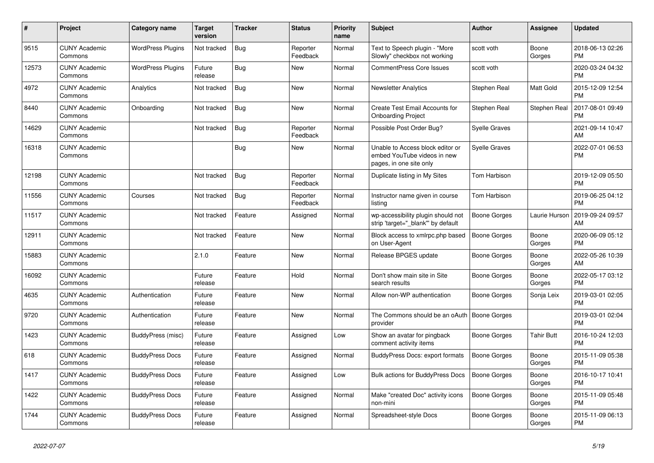| #     | <b>Project</b>                  | <b>Category name</b>     | <b>Target</b><br>version | <b>Tracker</b> | <b>Status</b>        | Priority<br>name | <b>Subject</b>                                                                             | Author               | Assignee          | <b>Updated</b>                |
|-------|---------------------------------|--------------------------|--------------------------|----------------|----------------------|------------------|--------------------------------------------------------------------------------------------|----------------------|-------------------|-------------------------------|
| 9515  | <b>CUNY Academic</b><br>Commons | <b>WordPress Plugins</b> | Not tracked              | <b>Bug</b>     | Reporter<br>Feedback | Normal           | Text to Speech plugin - "More<br>Slowly" checkbox not working                              | scott voth           | Boone<br>Gorges   | 2018-06-13 02:26<br><b>PM</b> |
| 12573 | <b>CUNY Academic</b><br>Commons | <b>WordPress Plugins</b> | Future<br>release        | <b>Bug</b>     | New                  | Normal           | <b>CommentPress Core Issues</b>                                                            | scott voth           |                   | 2020-03-24 04:32<br><b>PM</b> |
| 4972  | <b>CUNY Academic</b><br>Commons | Analytics                | Not tracked              | <b>Bug</b>     | <b>New</b>           | Normal           | Newsletter Analytics                                                                       | Stephen Real         | Matt Gold         | 2015-12-09 12:54<br><b>PM</b> |
| 8440  | <b>CUNY Academic</b><br>Commons | Onboarding               | Not tracked              | <b>Bug</b>     | <b>New</b>           | Normal           | Create Test Email Accounts for<br><b>Onboarding Project</b>                                | Stephen Real         | Stephen Real      | 2017-08-01 09:49<br><b>PM</b> |
| 14629 | <b>CUNY Academic</b><br>Commons |                          | Not tracked              | Bug            | Reporter<br>Feedback | Normal           | Possible Post Order Bug?                                                                   | Syelle Graves        |                   | 2021-09-14 10:47<br>AM        |
| 16318 | <b>CUNY Academic</b><br>Commons |                          |                          | <b>Bug</b>     | New                  | Normal           | Unable to Access block editor or<br>embed YouTube videos in new<br>pages, in one site only | <b>Syelle Graves</b> |                   | 2022-07-01 06:53<br><b>PM</b> |
| 12198 | <b>CUNY Academic</b><br>Commons |                          | Not tracked              | Bug            | Reporter<br>Feedback | Normal           | Duplicate listing in My Sites                                                              | <b>Tom Harbison</b>  |                   | 2019-12-09 05:50<br><b>PM</b> |
| 11556 | <b>CUNY Academic</b><br>Commons | Courses                  | Not tracked              | <b>Bug</b>     | Reporter<br>Feedback | Normal           | Instructor name given in course<br>listina                                                 | <b>Tom Harbison</b>  |                   | 2019-06-25 04:12<br><b>PM</b> |
| 11517 | <b>CUNY Academic</b><br>Commons |                          | Not tracked              | Feature        | Assigned             | Normal           | wp-accessibility plugin should not<br>strip 'target=" blank" by default                    | <b>Boone Gorges</b>  | Laurie Hurson     | 2019-09-24 09:57<br>AM        |
| 12911 | <b>CUNY Academic</b><br>Commons |                          | Not tracked              | Feature        | <b>New</b>           | Normal           | Block access to xmlrpc.php based<br>on User-Agent                                          | <b>Boone Gorges</b>  | Boone<br>Gorges   | 2020-06-09 05:12<br><b>PM</b> |
| 15883 | <b>CUNY Academic</b><br>Commons |                          | 2.1.0                    | Feature        | New                  | Normal           | Release BPGES update                                                                       | Boone Gorges         | Boone<br>Gorges   | 2022-05-26 10:39<br>AM        |
| 16092 | <b>CUNY Academic</b><br>Commons |                          | Future<br>release        | Feature        | Hold                 | Normal           | Don't show main site in Site<br>search results                                             | Boone Gorges         | Boone<br>Gorges   | 2022-05-17 03:12<br><b>PM</b> |
| 4635  | <b>CUNY Academic</b><br>Commons | Authentication           | Future<br>release        | Feature        | <b>New</b>           | Normal           | Allow non-WP authentication                                                                | Boone Gorges         | Sonja Leix        | 2019-03-01 02:05<br><b>PM</b> |
| 9720  | <b>CUNY Academic</b><br>Commons | Authentication           | Future<br>release        | Feature        | <b>New</b>           | Normal           | The Commons should be an oAuth   Boone Gorges<br>provider                                  |                      |                   | 2019-03-01 02:04<br><b>PM</b> |
| 1423  | <b>CUNY Academic</b><br>Commons | BuddyPress (misc)        | Future<br>release        | Feature        | Assigned             | Low              | Show an avatar for pingback<br>comment activity items                                      | Boone Gorges         | <b>Tahir Butt</b> | 2016-10-24 12:03<br><b>PM</b> |
| 618   | <b>CUNY Academic</b><br>Commons | <b>BuddyPress Docs</b>   | Future<br>release        | Feature        | Assigned             | Normal           | BuddyPress Docs: export formats                                                            | Boone Gorges         | Boone<br>Gorges   | 2015-11-09 05:38<br><b>PM</b> |
| 1417  | <b>CUNY Academic</b><br>Commons | <b>BuddyPress Docs</b>   | Future<br>release        | Feature        | Assigned             | Low              | <b>Bulk actions for BuddyPress Docs</b>                                                    | <b>Boone Gorges</b>  | Boone<br>Gorges   | 2016-10-17 10:41<br><b>PM</b> |
| 1422  | <b>CUNY Academic</b><br>Commons | <b>BuddyPress Docs</b>   | Future<br>release        | Feature        | Assigned             | Normal           | Make "created Doc" activity icons<br>non-mini                                              | Boone Gorges         | Boone<br>Gorges   | 2015-11-09 05:48<br><b>PM</b> |
| 1744  | <b>CUNY Academic</b><br>Commons | <b>BuddyPress Docs</b>   | Future<br>release        | Feature        | Assigned             | Normal           | Spreadsheet-style Docs                                                                     | Boone Gorges         | Boone<br>Gorges   | 2015-11-09 06:13<br><b>PM</b> |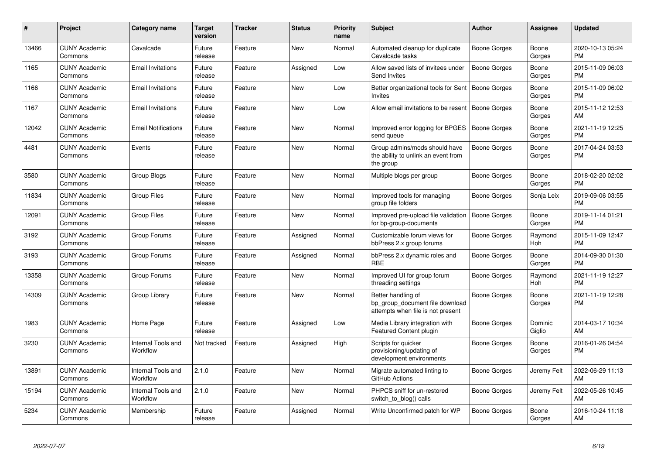| #     | Project                         | Category name                  | <b>Target</b><br>version | <b>Tracker</b> | <b>Status</b> | <b>Priority</b><br>name | <b>Subject</b>                                                                             | <b>Author</b>       | Assignee                 | <b>Updated</b>                |
|-------|---------------------------------|--------------------------------|--------------------------|----------------|---------------|-------------------------|--------------------------------------------------------------------------------------------|---------------------|--------------------------|-------------------------------|
| 13466 | <b>CUNY Academic</b><br>Commons | Cavalcade                      | Future<br>release        | Feature        | New           | Normal                  | Automated cleanup for duplicate<br>Cavalcade tasks                                         | Boone Gorges        | Boone<br>Gorges          | 2020-10-13 05:24<br><b>PM</b> |
| 1165  | <b>CUNY Academic</b><br>Commons | <b>Email Invitations</b>       | Future<br>release        | Feature        | Assigned      | Low                     | Allow saved lists of invitees under<br>Send Invites                                        | <b>Boone Gorges</b> | Boone<br>Gorges          | 2015-11-09 06:03<br>PM        |
| 1166  | <b>CUNY Academic</b><br>Commons | <b>Email Invitations</b>       | Future<br>release        | Feature        | New           | Low                     | Better organizational tools for Sent<br>Invites                                            | Boone Gorges        | Boone<br>Gorges          | 2015-11-09 06:02<br><b>PM</b> |
| 1167  | <b>CUNY Academic</b><br>Commons | <b>Email Invitations</b>       | Future<br>release        | Feature        | New           | Low                     | Allow email invitations to be resent   Boone Gorges                                        |                     | Boone<br>Gorges          | 2015-11-12 12:53<br>AM        |
| 12042 | <b>CUNY Academic</b><br>Commons | <b>Email Notifications</b>     | Future<br>release        | Feature        | New           | Normal                  | Improved error logging for BPGES<br>send queue                                             | <b>Boone Gorges</b> | Boone<br>Gorges          | 2021-11-19 12:25<br><b>PM</b> |
| 4481  | <b>CUNY Academic</b><br>Commons | Events                         | Future<br>release        | Feature        | <b>New</b>    | Normal                  | Group admins/mods should have<br>the ability to unlink an event from<br>the group          | <b>Boone Gorges</b> | Boone<br>Gorges          | 2017-04-24 03:53<br><b>PM</b> |
| 3580  | <b>CUNY Academic</b><br>Commons | <b>Group Blogs</b>             | Future<br>release        | Feature        | <b>New</b>    | Normal                  | Multiple blogs per group                                                                   | Boone Gorges        | Boone<br>Gorges          | 2018-02-20 02:02<br>PM        |
| 11834 | <b>CUNY Academic</b><br>Commons | <b>Group Files</b>             | Future<br>release        | Feature        | New           | Normal                  | Improved tools for managing<br>group file folders                                          | Boone Gorges        | Sonja Leix               | 2019-09-06 03:55<br><b>PM</b> |
| 12091 | <b>CUNY Academic</b><br>Commons | <b>Group Files</b>             | Future<br>release        | Feature        | <b>New</b>    | Normal                  | Improved pre-upload file validation<br>for bp-group-documents                              | Boone Gorges        | Boone<br>Gorges          | 2019-11-14 01:21<br><b>PM</b> |
| 3192  | <b>CUNY Academic</b><br>Commons | Group Forums                   | Future<br>release        | Feature        | Assigned      | Normal                  | Customizable forum views for<br>bbPress 2.x group forums                                   | Boone Gorges        | Raymond<br>Hoh           | 2015-11-09 12:47<br><b>PM</b> |
| 3193  | <b>CUNY Academic</b><br>Commons | Group Forums                   | Future<br>release        | Feature        | Assigned      | Normal                  | bbPress 2.x dynamic roles and<br><b>RBE</b>                                                | Boone Gorges        | Boone<br>Gorges          | 2014-09-30 01:30<br><b>PM</b> |
| 13358 | <b>CUNY Academic</b><br>Commons | Group Forums                   | Future<br>release        | Feature        | <b>New</b>    | Normal                  | Improved UI for group forum<br>threading settings                                          | Boone Gorges        | Raymond<br><b>Hoh</b>    | 2021-11-19 12:27<br><b>PM</b> |
| 14309 | <b>CUNY Academic</b><br>Commons | Group Library                  | Future<br>release        | Feature        | New           | Normal                  | Better handling of<br>bp_group_document file download<br>attempts when file is not present | Boone Gorges        | Boone<br>Gorges          | 2021-11-19 12:28<br><b>PM</b> |
| 1983  | <b>CUNY Academic</b><br>Commons | Home Page                      | Future<br>release        | Feature        | Assigned      | Low                     | Media Library integration with<br>Featured Content plugin                                  | Boone Gorges        | <b>Dominic</b><br>Giglio | 2014-03-17 10:34<br>AM        |
| 3230  | <b>CUNY Academic</b><br>Commons | Internal Tools and<br>Workflow | Not tracked              | Feature        | Assigned      | High                    | Scripts for quicker<br>provisioning/updating of<br>development environments                | Boone Gorges        | Boone<br>Gorges          | 2016-01-26 04:54<br><b>PM</b> |
| 13891 | <b>CUNY Academic</b><br>Commons | Internal Tools and<br>Workflow | 2.1.0                    | Feature        | <b>New</b>    | Normal                  | Migrate automated linting to<br>GitHub Actions                                             | Boone Gorges        | Jeremy Felt              | 2022-06-29 11:13<br>AM        |
| 15194 | <b>CUNY Academic</b><br>Commons | Internal Tools and<br>Workflow | 2.1.0                    | Feature        | <b>New</b>    | Normal                  | PHPCS sniff for un-restored<br>switch_to_blog() calls                                      | Boone Gorges        | Jeremy Felt              | 2022-05-26 10:45<br>AM        |
| 5234  | <b>CUNY Academic</b><br>Commons | Membership                     | Future<br>release        | Feature        | Assigned      | Normal                  | Write Unconfirmed patch for WP                                                             | Boone Gorges        | Boone<br>Gorges          | 2016-10-24 11:18<br>AM        |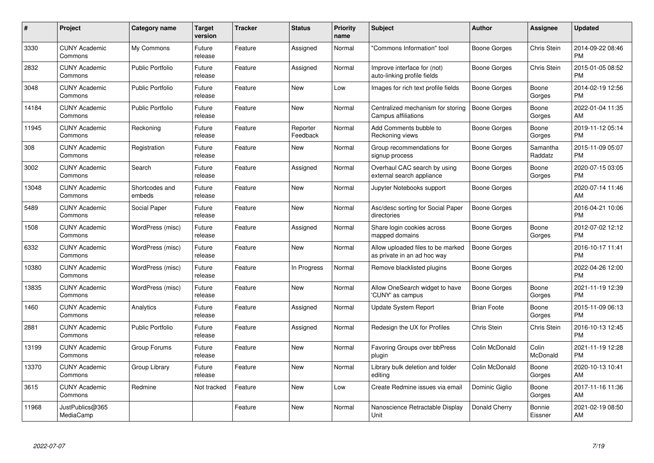| #     | Project                         | Category name            | <b>Target</b><br>version | <b>Tracker</b> | <b>Status</b>        | <b>Priority</b><br>name | <b>Subject</b>                                                   | <b>Author</b>       | <b>Assignee</b>     | <b>Updated</b>                |
|-------|---------------------------------|--------------------------|--------------------------|----------------|----------------------|-------------------------|------------------------------------------------------------------|---------------------|---------------------|-------------------------------|
| 3330  | <b>CUNY Academic</b><br>Commons | My Commons               | Future<br>release        | Feature        | Assigned             | Normal                  | "Commons Information" tool                                       | Boone Gorges        | Chris Stein         | 2014-09-22 08:46<br><b>PM</b> |
| 2832  | <b>CUNY Academic</b><br>Commons | <b>Public Portfolio</b>  | Future<br>release        | Feature        | Assigned             | Normal                  | Improve interface for (not)<br>auto-linking profile fields       | Boone Gorges        | <b>Chris Stein</b>  | 2015-01-05 08:52<br><b>PM</b> |
| 3048  | <b>CUNY Academic</b><br>Commons | <b>Public Portfolio</b>  | Future<br>release        | Feature        | New                  | Low                     | Images for rich text profile fields                              | Boone Gorges        | Boone<br>Gorges     | 2014-02-19 12:56<br><b>PM</b> |
| 14184 | <b>CUNY Academic</b><br>Commons | <b>Public Portfolio</b>  | Future<br>release        | Feature        | <b>New</b>           | Normal                  | Centralized mechanism for storing<br><b>Campus affiliations</b>  | Boone Gorges        | Boone<br>Gorges     | 2022-01-04 11:35<br>AM        |
| 11945 | <b>CUNY Academic</b><br>Commons | Reckoning                | Future<br>release        | Feature        | Reporter<br>Feedback | Normal                  | Add Comments bubble to<br>Reckoning views                        | Boone Gorges        | Boone<br>Gorges     | 2019-11-12 05:14<br><b>PM</b> |
| 308   | <b>CUNY Academic</b><br>Commons | Registration             | Future<br>release        | Feature        | New                  | Normal                  | Group recommendations for<br>signup process                      | Boone Gorges        | Samantha<br>Raddatz | 2015-11-09 05:07<br><b>PM</b> |
| 3002  | <b>CUNY Academic</b><br>Commons | Search                   | Future<br>release        | Feature        | Assigned             | Normal                  | Overhaul CAC search by using<br>external search appliance        | Boone Gorges        | Boone<br>Gorges     | 2020-07-15 03:05<br><b>PM</b> |
| 13048 | <b>CUNY Academic</b><br>Commons | Shortcodes and<br>embeds | Future<br>release        | Feature        | New                  | Normal                  | Jupyter Notebooks support                                        | Boone Gorges        |                     | 2020-07-14 11:46<br>AM        |
| 5489  | <b>CUNY Academic</b><br>Commons | Social Paper             | Future<br>release        | Feature        | New                  | Normal                  | Asc/desc sorting for Social Paper<br>directories                 | <b>Boone Gorges</b> |                     | 2016-04-21 10:06<br><b>PM</b> |
| 1508  | <b>CUNY Academic</b><br>Commons | WordPress (misc)         | Future<br>release        | Feature        | Assigned             | Normal                  | Share login cookies across<br>mapped domains                     | Boone Gorges        | Boone<br>Gorges     | 2012-07-02 12:12<br>PM        |
| 6332  | <b>CUNY Academic</b><br>Commons | WordPress (misc)         | Future<br>release        | Feature        | New                  | Normal                  | Allow uploaded files to be marked<br>as private in an ad hoc way | Boone Gorges        |                     | 2016-10-17 11:41<br><b>PM</b> |
| 10380 | <b>CUNY Academic</b><br>Commons | WordPress (misc)         | Future<br>release        | Feature        | In Progress          | Normal                  | Remove blacklisted plugins                                       | Boone Gorges        |                     | 2022-04-26 12:00<br><b>PM</b> |
| 13835 | <b>CUNY Academic</b><br>Commons | WordPress (misc)         | Future<br>release        | Feature        | New                  | Normal                  | Allow OneSearch widget to have<br>'CUNY' as campus               | Boone Gorges        | Boone<br>Gorges     | 2021-11-19 12:39<br><b>PM</b> |
| 1460  | <b>CUNY Academic</b><br>Commons | Analytics                | Future<br>release        | Feature        | Assigned             | Normal                  | <b>Update System Report</b>                                      | <b>Brian Foote</b>  | Boone<br>Gorges     | 2015-11-09 06:13<br><b>PM</b> |
| 2881  | <b>CUNY Academic</b><br>Commons | <b>Public Portfolio</b>  | Future<br>release        | Feature        | Assigned             | Normal                  | Redesign the UX for Profiles                                     | Chris Stein         | Chris Stein         | 2016-10-13 12:45<br><b>PM</b> |
| 13199 | <b>CUNY Academic</b><br>Commons | Group Forums             | Future<br>release        | Feature        | New                  | Normal                  | Favoring Groups over bbPress<br>plugin                           | Colin McDonald      | Colin<br>McDonald   | 2021-11-19 12:28<br><b>PM</b> |
| 13370 | <b>CUNY Academic</b><br>Commons | Group Library            | Future<br>release        | Feature        | New                  | Normal                  | Library bulk deletion and folder<br>editing                      | Colin McDonald      | Boone<br>Gorges     | 2020-10-13 10:41<br>AM        |
| 3615  | <b>CUNY Academic</b><br>Commons | Redmine                  | Not tracked              | Feature        | New                  | Low                     | Create Redmine issues via email                                  | Dominic Giglio      | Boone<br>Gorges     | 2017-11-16 11:36<br>AM        |
| 11968 | JustPublics@365<br>MediaCamp    |                          |                          | Feature        | <b>New</b>           | Normal                  | Nanoscience Retractable Display<br>Unit                          | Donald Cherry       | Bonnie<br>Eissner   | 2021-02-19 08:50<br>AM        |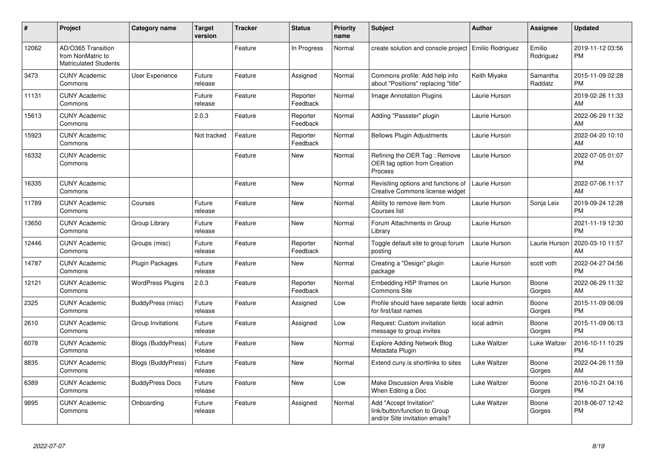| #     | Project                                                                 | Category name            | <b>Target</b><br>version | <b>Tracker</b> | <b>Status</b>        | <b>Priority</b><br>name | Subject                                                                                    | Author           | Assignee            | <b>Updated</b>                |
|-------|-------------------------------------------------------------------------|--------------------------|--------------------------|----------------|----------------------|-------------------------|--------------------------------------------------------------------------------------------|------------------|---------------------|-------------------------------|
| 12062 | AD/O365 Transition<br>from NonMatric to<br><b>Matriculated Students</b> |                          |                          | Feature        | In Progress          | Normal                  | create solution and console project                                                        | Emilio Rodriguez | Emilio<br>Rodriguez | 2019-11-12 03:56<br><b>PM</b> |
| 3473  | <b>CUNY Academic</b><br>Commons                                         | User Experience          | Future<br>release        | Feature        | Assigned             | Normal                  | Commons profile: Add help info<br>about "Positions" replacing "title"                      | Keith Miyake     | Samantha<br>Raddatz | 2015-11-09 02:28<br><b>PM</b> |
| 11131 | <b>CUNY Academic</b><br>Commons                                         |                          | Future<br>release        | Feature        | Reporter<br>Feedback | Normal                  | Image Annotation Plugins                                                                   | Laurie Hurson    |                     | 2019-02-26 11:33<br>AM        |
| 15613 | <b>CUNY Academic</b><br>Commons                                         |                          | 2.0.3                    | Feature        | Reporter<br>Feedback | Normal                  | Adding "Passster" plugin                                                                   | Laurie Hurson    |                     | 2022-06-29 11:32<br>AM        |
| 15923 | <b>CUNY Academic</b><br>Commons                                         |                          | Not tracked              | Feature        | Reporter<br>Feedback | Normal                  | <b>Bellows Plugin Adjustments</b>                                                          | Laurie Hurson    |                     | 2022-04-20 10:10<br>AM        |
| 16332 | <b>CUNY Academic</b><br>Commons                                         |                          |                          | Feature        | New                  | Normal                  | Refining the OER Tag: Remove<br>OER tag option from Creation<br>Process                    | Laurie Hurson    |                     | 2022-07-05 01:07<br><b>PM</b> |
| 16335 | <b>CUNY Academic</b><br>Commons                                         |                          |                          | Feature        | <b>New</b>           | Normal                  | Revisiting options and functions of<br>Creative Commons license widget                     | Laurie Hurson    |                     | 2022-07-06 11:17<br>AM        |
| 11789 | <b>CUNY Academic</b><br>Commons                                         | Courses                  | Future<br>release        | Feature        | New                  | Normal                  | Ability to remove item from<br>Courses list                                                | Laurie Hurson    | Sonja Leix          | 2019-09-24 12:28<br><b>PM</b> |
| 13650 | <b>CUNY Academic</b><br>Commons                                         | Group Library            | Future<br>release        | Feature        | <b>New</b>           | Normal                  | Forum Attachments in Group<br>Library                                                      | Laurie Hurson    |                     | 2021-11-19 12:30<br><b>PM</b> |
| 12446 | <b>CUNY Academic</b><br>Commons                                         | Groups (misc)            | Future<br>release        | Feature        | Reporter<br>Feedback | Normal                  | Toggle default site to group forum<br>posting                                              | Laurie Hurson    | Laurie Hurson       | 2020-03-10 11:57<br>AM        |
| 14787 | <b>CUNY Academic</b><br>Commons                                         | Plugin Packages          | Future<br>release        | Feature        | New                  | Normal                  | Creating a "Design" plugin<br>package                                                      | Laurie Hurson    | scott voth          | 2022-04-27 04:56<br><b>PM</b> |
| 12121 | <b>CUNY Academic</b><br>Commons                                         | <b>WordPress Plugins</b> | 2.0.3                    | Feature        | Reporter<br>Feedback | Normal                  | Embedding H5P Iframes on<br><b>Commons Site</b>                                            | Laurie Hurson    | Boone<br>Gorges     | 2022-06-29 11:32<br>AM        |
| 2325  | <b>CUNY Academic</b><br>Commons                                         | BuddyPress (misc)        | Future<br>release        | Feature        | Assigned             | Low                     | Profile should have separate fields<br>for first/last names                                | local admin      | Boone<br>Gorges     | 2015-11-09 06:09<br><b>PM</b> |
| 2610  | <b>CUNY Academic</b><br>Commons                                         | Group Invitations        | Future<br>release        | Feature        | Assigned             | Low                     | Request: Custom invitation<br>message to group invites                                     | local admin      | Boone<br>Gorges     | 2015-11-09 06:13<br><b>PM</b> |
| 6078  | <b>CUNY Academic</b><br>Commons                                         | Blogs (BuddyPress)       | Future<br>release        | Feature        | New                  | Normal                  | <b>Explore Adding Network Blog</b><br>Metadata Plugin                                      | Luke Waltzer     | Luke Waltzer        | 2016-10-11 10:29<br><b>PM</b> |
| 8835  | <b>CUNY Academic</b><br>Commons                                         | Blogs (BuddyPress)       | Future<br>release        | Feature        | New                  | Normal                  | Extend cuny is shortlinks to sites                                                         | Luke Waltzer     | Boone<br>Gorges     | 2022-04-26 11:59<br>AM        |
| 6389  | <b>CUNY Academic</b><br>Commons                                         | <b>BuddyPress Docs</b>   | Future<br>release        | Feature        | New                  | Low                     | <b>Make Discussion Area Visible</b><br>When Editing a Doc                                  | Luke Waltzer     | Boone<br>Gorges     | 2016-10-21 04:16<br><b>PM</b> |
| 9895  | <b>CUNY Academic</b><br>Commons                                         | Onboarding               | Future<br>release        | Feature        | Assigned             | Normal                  | Add "Accept Invitation"<br>link/button/function to Group<br>and/or Site invitation emails? | Luke Waltzer     | Boone<br>Gorges     | 2018-06-07 12:42<br><b>PM</b> |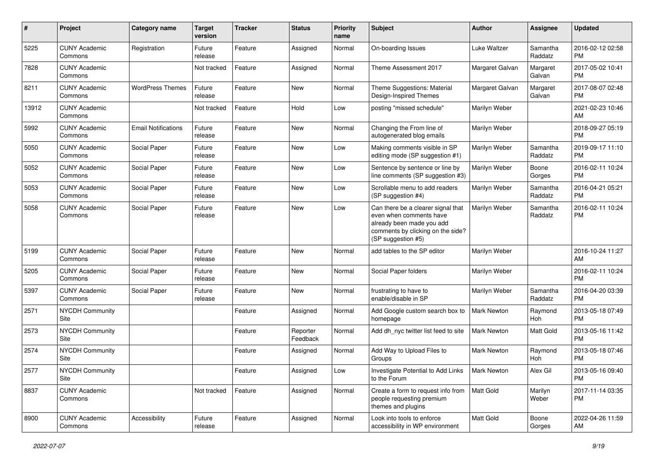| #     | Project                         | <b>Category name</b>       | <b>Target</b><br>version | <b>Tracker</b> | <b>Status</b>        | Priority<br>name | <b>Subject</b>                                                                                                                                        | <b>Author</b>      | <b>Assignee</b>     | <b>Updated</b>                |
|-------|---------------------------------|----------------------------|--------------------------|----------------|----------------------|------------------|-------------------------------------------------------------------------------------------------------------------------------------------------------|--------------------|---------------------|-------------------------------|
| 5225  | <b>CUNY Academic</b><br>Commons | Registration               | Future<br>release        | Feature        | Assigned             | Normal           | On-boarding Issues                                                                                                                                    | Luke Waltzer       | Samantha<br>Raddatz | 2016-02-12 02:58<br><b>PM</b> |
| 7828  | <b>CUNY Academic</b><br>Commons |                            | Not tracked              | Feature        | Assigned             | Normal           | Theme Assessment 2017                                                                                                                                 | Margaret Galvan    | Margaret<br>Galvan  | 2017-05-02 10:41<br><b>PM</b> |
| 8211  | <b>CUNY Academic</b><br>Commons | <b>WordPress Themes</b>    | Future<br>release        | Feature        | <b>New</b>           | Normal           | Theme Suggestions: Material<br>Design-Inspired Themes                                                                                                 | Margaret Galvan    | Margaret<br>Galvan  | 2017-08-07 02:48<br><b>PM</b> |
| 13912 | <b>CUNY Academic</b><br>Commons |                            | Not tracked              | Feature        | Hold                 | Low              | posting "missed schedule"                                                                                                                             | Marilyn Weber      |                     | 2021-02-23 10:46<br>AM        |
| 5992  | <b>CUNY Academic</b><br>Commons | <b>Email Notifications</b> | Future<br>release        | Feature        | <b>New</b>           | Normal           | Changing the From line of<br>autogenerated blog emails                                                                                                | Marilyn Weber      |                     | 2018-09-27 05:19<br><b>PM</b> |
| 5050  | <b>CUNY Academic</b><br>Commons | Social Paper               | Future<br>release        | Feature        | New                  | Low              | Making comments visible in SP<br>editing mode (SP suggestion #1)                                                                                      | Marilyn Weber      | Samantha<br>Raddatz | 2019-09-17 11:10<br><b>PM</b> |
| 5052  | <b>CUNY Academic</b><br>Commons | Social Paper               | Future<br>release        | Feature        | <b>New</b>           | Low              | Sentence by sentence or line by<br>line comments (SP suggestion #3)                                                                                   | Marilyn Weber      | Boone<br>Gorges     | 2016-02-11 10:24<br><b>PM</b> |
| 5053  | <b>CUNY Academic</b><br>Commons | Social Paper               | Future<br>release        | Feature        | New                  | Low              | Scrollable menu to add readers<br>(SP suggestion #4)                                                                                                  | Marilyn Weber      | Samantha<br>Raddatz | 2016-04-21 05:21<br><b>PM</b> |
| 5058  | <b>CUNY Academic</b><br>Commons | Social Paper               | Future<br>release        | Feature        | New                  | Low              | Can there be a clearer signal that<br>even when comments have<br>already been made you add<br>comments by clicking on the side?<br>(SP suggestion #5) | Marilyn Weber      | Samantha<br>Raddatz | 2016-02-11 10:24<br><b>PM</b> |
| 5199  | <b>CUNY Academic</b><br>Commons | Social Paper               | Future<br>release        | Feature        | <b>New</b>           | Normal           | add tables to the SP editor                                                                                                                           | Marilyn Weber      |                     | 2016-10-24 11:27<br>AM        |
| 5205  | <b>CUNY Academic</b><br>Commons | Social Paper               | Future<br>release        | Feature        | <b>New</b>           | Normal           | Social Paper folders                                                                                                                                  | Marilyn Weber      |                     | 2016-02-11 10:24<br><b>PM</b> |
| 5397  | <b>CUNY Academic</b><br>Commons | Social Paper               | Future<br>release        | Feature        | <b>New</b>           | Normal           | frustrating to have to<br>enable/disable in SP                                                                                                        | Marilyn Weber      | Samantha<br>Raddatz | 2016-04-20 03:39<br><b>PM</b> |
| 2571  | <b>NYCDH Community</b><br>Site  |                            |                          | Feature        | Assigned             | Normal           | Add Google custom search box to<br>homepage                                                                                                           | Mark Newton        | Raymond<br>Hoh      | 2013-05-18 07:49<br><b>PM</b> |
| 2573  | <b>NYCDH Community</b><br>Site  |                            |                          | Feature        | Reporter<br>Feedback | Normal           | Add dh nyc twitter list feed to site                                                                                                                  | Mark Newton        | Matt Gold           | 2013-05-16 11:42<br><b>PM</b> |
| 2574  | <b>NYCDH Community</b><br>Site  |                            |                          | Feature        | Assigned             | Normal           | Add Way to Upload Files to<br>Groups                                                                                                                  | <b>Mark Newton</b> | Raymond<br>Hoh      | 2013-05-18 07:46<br><b>PM</b> |
| 2577  | NYCDH Community<br>Site         |                            |                          | Feature        | Assigned             | Low              | Investigate Potential to Add Links<br>to the Forum                                                                                                    | Mark Newton        | Alex Gil            | 2013-05-16 09:40<br><b>PM</b> |
| 8837  | <b>CUNY Academic</b><br>Commons |                            | Not tracked              | Feature        | Assigned             | Normal           | Create a form to request info from<br>people requesting premium<br>themes and plugins                                                                 | Matt Gold          | Marilyn<br>Weber    | 2017-11-14 03:35<br><b>PM</b> |
| 8900  | <b>CUNY Academic</b><br>Commons | Accessibility              | Future<br>release        | Feature        | Assigned             | Normal           | Look into tools to enforce<br>accessibility in WP environment                                                                                         | Matt Gold          | Boone<br>Gorges     | 2022-04-26 11:59<br>AM        |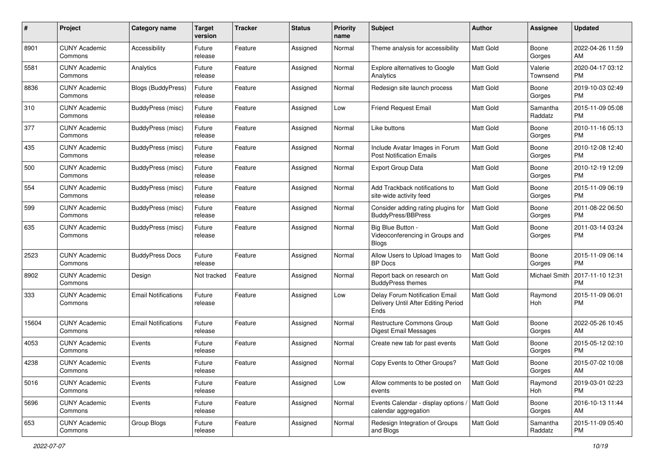| #     | Project                         | <b>Category name</b>       | <b>Target</b><br>version | <b>Tracker</b> | <b>Status</b> | <b>Priority</b><br>name | <b>Subject</b>                                                                | Author           | <b>Assignee</b>     | <b>Updated</b>                |
|-------|---------------------------------|----------------------------|--------------------------|----------------|---------------|-------------------------|-------------------------------------------------------------------------------|------------------|---------------------|-------------------------------|
| 8901  | <b>CUNY Academic</b><br>Commons | Accessibility              | Future<br>release        | Feature        | Assigned      | Normal                  | Theme analysis for accessibility                                              | <b>Matt Gold</b> | Boone<br>Gorges     | 2022-04-26 11:59<br>AM        |
| 5581  | <b>CUNY Academic</b><br>Commons | Analytics                  | Future<br>release        | Feature        | Assigned      | Normal                  | Explore alternatives to Google<br>Analytics                                   | Matt Gold        | Valerie<br>Townsend | 2020-04-17 03:12<br><b>PM</b> |
| 8836  | <b>CUNY Academic</b><br>Commons | Blogs (BuddyPress)         | Future<br>release        | Feature        | Assigned      | Normal                  | Redesign site launch process                                                  | <b>Matt Gold</b> | Boone<br>Gorges     | 2019-10-03 02:49<br><b>PM</b> |
| 310   | <b>CUNY Academic</b><br>Commons | BuddyPress (misc)          | Future<br>release        | Feature        | Assigned      | Low                     | <b>Friend Request Email</b>                                                   | <b>Matt Gold</b> | Samantha<br>Raddatz | 2015-11-09 05:08<br><b>PM</b> |
| 377   | <b>CUNY Academic</b><br>Commons | BuddyPress (misc)          | Future<br>release        | Feature        | Assigned      | Normal                  | Like buttons                                                                  | Matt Gold        | Boone<br>Gorges     | 2010-11-16 05:13<br><b>PM</b> |
| 435   | <b>CUNY Academic</b><br>Commons | BuddyPress (misc)          | Future<br>release        | Feature        | Assigned      | Normal                  | Include Avatar Images in Forum<br><b>Post Notification Emails</b>             | Matt Gold        | Boone<br>Gorges     | 2010-12-08 12:40<br><b>PM</b> |
| 500   | <b>CUNY Academic</b><br>Commons | BuddyPress (misc)          | Future<br>release        | Feature        | Assigned      | Normal                  | <b>Export Group Data</b>                                                      | <b>Matt Gold</b> | Boone<br>Gorges     | 2010-12-19 12:09<br><b>PM</b> |
| 554   | <b>CUNY Academic</b><br>Commons | BuddyPress (misc)          | Future<br>release        | Feature        | Assigned      | Normal                  | Add Trackback notifications to<br>site-wide activity feed                     | <b>Matt Gold</b> | Boone<br>Gorges     | 2015-11-09 06:19<br><b>PM</b> |
| 599   | <b>CUNY Academic</b><br>Commons | BuddyPress (misc)          | Future<br>release        | Feature        | Assigned      | Normal                  | Consider adding rating plugins for<br><b>BuddyPress/BBPress</b>               | Matt Gold        | Boone<br>Gorges     | 2011-08-22 06:50<br><b>PM</b> |
| 635   | <b>CUNY Academic</b><br>Commons | BuddyPress (misc)          | Future<br>release        | Feature        | Assigned      | Normal                  | Big Blue Button -<br>Videoconferencing in Groups and<br><b>Blogs</b>          | Matt Gold        | Boone<br>Gorges     | 2011-03-14 03:24<br><b>PM</b> |
| 2523  | <b>CUNY Academic</b><br>Commons | <b>BuddyPress Docs</b>     | Future<br>release        | Feature        | Assigned      | Normal                  | Allow Users to Upload Images to<br><b>BP</b> Docs                             | Matt Gold        | Boone<br>Gorges     | 2015-11-09 06:14<br><b>PM</b> |
| 8902  | <b>CUNY Academic</b><br>Commons | Design                     | Not tracked              | Feature        | Assigned      | Normal                  | Report back on research on<br><b>BuddyPress themes</b>                        | Matt Gold        | Michael Smith       | 2017-11-10 12:31<br><b>PM</b> |
| 333   | <b>CUNY Academic</b><br>Commons | <b>Email Notifications</b> | Future<br>release        | Feature        | Assigned      | Low                     | Delay Forum Notification Email<br>Delivery Until After Editing Period<br>Ends | <b>Matt Gold</b> | Raymond<br>Hoh      | 2015-11-09 06:01<br><b>PM</b> |
| 15604 | <b>CUNY Academic</b><br>Commons | <b>Email Notifications</b> | Future<br>release        | Feature        | Assigned      | Normal                  | <b>Restructure Commons Group</b><br><b>Digest Email Messages</b>              | Matt Gold        | Boone<br>Gorges     | 2022-05-26 10:45<br>AM        |
| 4053  | <b>CUNY Academic</b><br>Commons | Events                     | Future<br>release        | Feature        | Assigned      | Normal                  | Create new tab for past events                                                | Matt Gold        | Boone<br>Gorges     | 2015-05-12 02:10<br><b>PM</b> |
| 4238  | <b>CUNY Academic</b><br>Commons | Events                     | Future<br>reiease        | Feature        | Assigned      | Normal                  | Copy Events to Other Groups?                                                  | <b>Matt Gold</b> | Boone<br>Gorges     | 2015-07-02 10:08<br>AM        |
| 5016  | <b>CUNY Academic</b><br>Commons | Events                     | Future<br>release        | Feature        | Assigned      | Low                     | Allow comments to be posted on<br>events                                      | <b>Matt Gold</b> | Raymond<br>Hoh      | 2019-03-01 02:23<br>PM        |
| 5696  | <b>CUNY Academic</b><br>Commons | Events                     | Future<br>release        | Feature        | Assigned      | Normal                  | Events Calendar - display options /<br>calendar aggregation                   | Matt Gold        | Boone<br>Gorges     | 2016-10-13 11:44<br>AM        |
| 653   | <b>CUNY Academic</b><br>Commons | Group Blogs                | Future<br>release        | Feature        | Assigned      | Normal                  | Redesign Integration of Groups<br>and Blogs                                   | Matt Gold        | Samantha<br>Raddatz | 2015-11-09 05:40<br><b>PM</b> |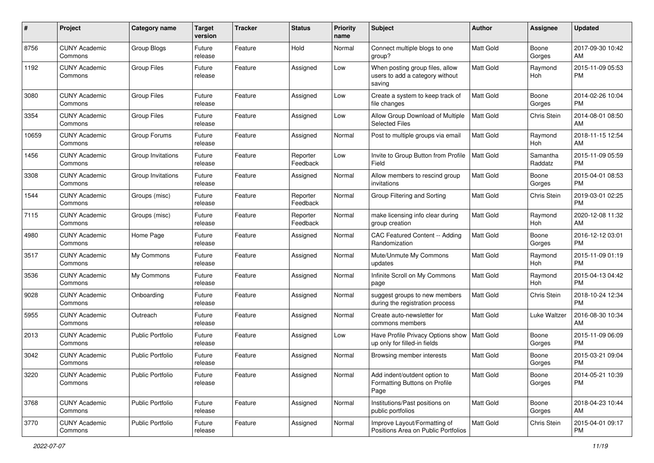| #     | Project                         | <b>Category name</b>    | <b>Target</b><br>version | <b>Tracker</b> | <b>Status</b>        | Priority<br>name | <b>Subject</b>                                                                | Author           | <b>Assignee</b>     | <b>Updated</b>                |
|-------|---------------------------------|-------------------------|--------------------------|----------------|----------------------|------------------|-------------------------------------------------------------------------------|------------------|---------------------|-------------------------------|
| 8756  | <b>CUNY Academic</b><br>Commons | Group Blogs             | Future<br>release        | Feature        | Hold                 | Normal           | Connect multiple blogs to one<br>group?                                       | <b>Matt Gold</b> | Boone<br>Gorges     | 2017-09-30 10:42<br>AM        |
| 1192  | <b>CUNY Academic</b><br>Commons | <b>Group Files</b>      | Future<br>release        | Feature        | Assigned             | Low              | When posting group files, allow<br>users to add a category without<br>saving  | Matt Gold        | Raymond<br>Hoh      | 2015-11-09 05:53<br><b>PM</b> |
| 3080  | <b>CUNY Academic</b><br>Commons | <b>Group Files</b>      | Future<br>release        | Feature        | Assigned             | Low              | Create a system to keep track of<br>file changes                              | <b>Matt Gold</b> | Boone<br>Gorges     | 2014-02-26 10:04<br><b>PM</b> |
| 3354  | <b>CUNY Academic</b><br>Commons | <b>Group Files</b>      | Future<br>release        | Feature        | Assigned             | Low              | Allow Group Download of Multiple<br><b>Selected Files</b>                     | <b>Matt Gold</b> | Chris Stein         | 2014-08-01 08:50<br>AM        |
| 10659 | <b>CUNY Academic</b><br>Commons | Group Forums            | Future<br>release        | Feature        | Assigned             | Normal           | Post to multiple groups via email                                             | <b>Matt Gold</b> | Raymond<br>Hoh      | 2018-11-15 12:54<br>AM        |
| 1456  | <b>CUNY Academic</b><br>Commons | Group Invitations       | Future<br>release        | Feature        | Reporter<br>Feedback | Low              | Invite to Group Button from Profile<br>Field                                  | <b>Matt Gold</b> | Samantha<br>Raddatz | 2015-11-09 05:59<br><b>PM</b> |
| 3308  | <b>CUNY Academic</b><br>Commons | Group Invitations       | Future<br>release        | Feature        | Assigned             | Normal           | Allow members to rescind group<br>invitations                                 | <b>Matt Gold</b> | Boone<br>Gorges     | 2015-04-01 08:53<br><b>PM</b> |
| 1544  | <b>CUNY Academic</b><br>Commons | Groups (misc)           | Future<br>release        | Feature        | Reporter<br>Feedback | Normal           | Group Filtering and Sorting                                                   | <b>Matt Gold</b> | Chris Stein         | 2019-03-01 02:25<br><b>PM</b> |
| 7115  | <b>CUNY Academic</b><br>Commons | Groups (misc)           | Future<br>release        | Feature        | Reporter<br>Feedback | Normal           | make licensing info clear during<br>group creation                            | <b>Matt Gold</b> | Raymond<br>Hoh      | 2020-12-08 11:32<br>AM        |
| 4980  | <b>CUNY Academic</b><br>Commons | Home Page               | Future<br>release        | Feature        | Assigned             | Normal           | CAC Featured Content -- Adding<br>Randomization                               | <b>Matt Gold</b> | Boone<br>Gorges     | 2016-12-12 03:01<br><b>PM</b> |
| 3517  | <b>CUNY Academic</b><br>Commons | My Commons              | Future<br>release        | Feature        | Assigned             | Normal           | Mute/Unmute My Commons<br>updates                                             | Matt Gold        | Raymond<br>Hoh      | 2015-11-09 01:19<br><b>PM</b> |
| 3536  | <b>CUNY Academic</b><br>Commons | My Commons              | Future<br>release        | Feature        | Assigned             | Normal           | Infinite Scroll on My Commons<br>page                                         | Matt Gold        | Raymond<br>Hoh      | 2015-04-13 04:42<br><b>PM</b> |
| 9028  | <b>CUNY Academic</b><br>Commons | Onboarding              | Future<br>release        | Feature        | Assigned             | Normal           | suggest groups to new members<br>during the registration process              | <b>Matt Gold</b> | Chris Stein         | 2018-10-24 12:34<br><b>PM</b> |
| 5955  | <b>CUNY Academic</b><br>Commons | Outreach                | Future<br>release        | Feature        | Assigned             | Normal           | Create auto-newsletter for<br>commons members                                 | Matt Gold        | Luke Waltzer        | 2016-08-30 10:34<br>AM        |
| 2013  | <b>CUNY Academic</b><br>Commons | Public Portfolio        | Future<br>release        | Feature        | Assigned             | Low              | Have Profile Privacy Options show   Matt Gold<br>up only for filled-in fields |                  | Boone<br>Gorges     | 2015-11-09 06:09<br><b>PM</b> |
| 3042  | <b>CUNY Academic</b><br>Commons | <b>Public Portfolio</b> | Future<br>release        | Feature        | Assigned             | Normal           | Browsing member interests                                                     | <b>Matt Gold</b> | Boone<br>Gorges     | 2015-03-21 09:04<br><b>PM</b> |
| 3220  | <b>CUNY Academic</b><br>Commons | <b>Public Portfolio</b> | Future<br>release        | Feature        | Assigned             | Normal           | Add indent/outdent option to<br>Formatting Buttons on Profile<br>Page         | Matt Gold        | Boone<br>Gorges     | 2014-05-21 10:39<br><b>PM</b> |
| 3768  | <b>CUNY Academic</b><br>Commons | Public Portfolio        | Future<br>release        | Feature        | Assigned             | Normal           | Institutions/Past positions on<br>public portfolios                           | Matt Gold        | Boone<br>Gorges     | 2018-04-23 10:44<br>AM        |
| 3770  | <b>CUNY Academic</b><br>Commons | Public Portfolio        | Future<br>release        | Feature        | Assigned             | Normal           | Improve Layout/Formatting of<br>Positions Area on Public Portfolios           | <b>Matt Gold</b> | Chris Stein         | 2015-04-01 09:17<br><b>PM</b> |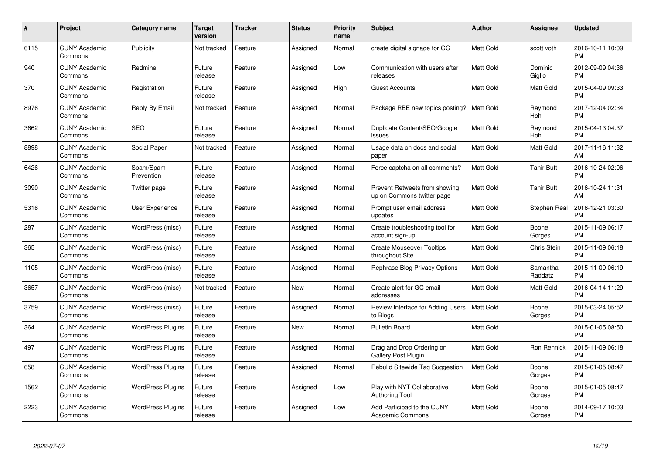| $\#$ | Project                         | <b>Category name</b>     | <b>Target</b><br>version | <b>Tracker</b> | <b>Status</b> | <b>Priority</b><br>name | <b>Subject</b>                                              | <b>Author</b>    | <b>Assignee</b>     | <b>Updated</b>                |
|------|---------------------------------|--------------------------|--------------------------|----------------|---------------|-------------------------|-------------------------------------------------------------|------------------|---------------------|-------------------------------|
| 6115 | <b>CUNY Academic</b><br>Commons | Publicity                | Not tracked              | Feature        | Assigned      | Normal                  | create digital signage for GC                               | <b>Matt Gold</b> | scott voth          | 2016-10-11 10:09<br><b>PM</b> |
| 940  | <b>CUNY Academic</b><br>Commons | Redmine                  | Future<br>release        | Feature        | Assigned      | Low                     | Communication with users after<br>releases                  | <b>Matt Gold</b> | Dominic<br>Giglio   | 2012-09-09 04:36<br><b>PM</b> |
| 370  | <b>CUNY Academic</b><br>Commons | Registration             | Future<br>release        | Feature        | Assigned      | High                    | <b>Guest Accounts</b>                                       | Matt Gold        | Matt Gold           | 2015-04-09 09:33<br><b>PM</b> |
| 8976 | <b>CUNY Academic</b><br>Commons | Reply By Email           | Not tracked              | Feature        | Assigned      | Normal                  | Package RBE new topics posting?                             | <b>Matt Gold</b> | Raymond<br>Hoh      | 2017-12-04 02:34<br><b>PM</b> |
| 3662 | <b>CUNY Academic</b><br>Commons | <b>SEO</b>               | Future<br>release        | Feature        | Assigned      | Normal                  | Duplicate Content/SEO/Google<br>issues                      | <b>Matt Gold</b> | Raymond<br>Hoh      | 2015-04-13 04:37<br><b>PM</b> |
| 8898 | <b>CUNY Academic</b><br>Commons | Social Paper             | Not tracked              | Feature        | Assigned      | Normal                  | Usage data on docs and social<br>paper                      | Matt Gold        | Matt Gold           | 2017-11-16 11:32<br>AM        |
| 6426 | <b>CUNY Academic</b><br>Commons | Spam/Spam<br>Prevention  | Future<br>release        | Feature        | Assigned      | Normal                  | Force captcha on all comments?                              | Matt Gold        | Tahir Butt          | 2016-10-24 02:06<br><b>PM</b> |
| 3090 | <b>CUNY Academic</b><br>Commons | Twitter page             | Future<br>release        | Feature        | Assigned      | Normal                  | Prevent Retweets from showing<br>up on Commons twitter page | <b>Matt Gold</b> | <b>Tahir Butt</b>   | 2016-10-24 11:31<br>AM        |
| 5316 | <b>CUNY Academic</b><br>Commons | <b>User Experience</b>   | Future<br>release        | Feature        | Assigned      | Normal                  | Prompt user email address<br>updates                        | <b>Matt Gold</b> | Stephen Real        | 2016-12-21 03:30<br><b>PM</b> |
| 287  | <b>CUNY Academic</b><br>Commons | WordPress (misc)         | Future<br>release        | Feature        | Assigned      | Normal                  | Create troubleshooting tool for<br>account sign-up          | <b>Matt Gold</b> | Boone<br>Gorges     | 2015-11-09 06:17<br><b>PM</b> |
| 365  | <b>CUNY Academic</b><br>Commons | WordPress (misc)         | Future<br>release        | Feature        | Assigned      | Normal                  | <b>Create Mouseover Tooltips</b><br>throughout Site         | Matt Gold        | Chris Stein         | 2015-11-09 06:18<br><b>PM</b> |
| 1105 | <b>CUNY Academic</b><br>Commons | WordPress (misc)         | Future<br>release        | Feature        | Assigned      | Normal                  | Rephrase Blog Privacy Options                               | <b>Matt Gold</b> | Samantha<br>Raddatz | 2015-11-09 06:19<br><b>PM</b> |
| 3657 | <b>CUNY Academic</b><br>Commons | WordPress (misc)         | Not tracked              | Feature        | New           | Normal                  | Create alert for GC email<br>addresses                      | <b>Matt Gold</b> | Matt Gold           | 2016-04-14 11:29<br><b>PM</b> |
| 3759 | <b>CUNY Academic</b><br>Commons | WordPress (misc)         | Future<br>release        | Feature        | Assigned      | Normal                  | Review Interface for Adding Users<br>to Blogs               | Matt Gold        | Boone<br>Gorges     | 2015-03-24 05:52<br><b>PM</b> |
| 364  | <b>CUNY Academic</b><br>Commons | <b>WordPress Plugins</b> | Future<br>release        | Feature        | <b>New</b>    | Normal                  | <b>Bulletin Board</b>                                       | Matt Gold        |                     | 2015-01-05 08:50<br><b>PM</b> |
| 497  | <b>CUNY Academic</b><br>Commons | <b>WordPress Plugins</b> | Future<br>release        | Feature        | Assigned      | Normal                  | Drag and Drop Ordering on<br><b>Gallery Post Plugin</b>     | <b>Matt Gold</b> | Ron Rennick         | 2015-11-09 06:18<br><b>PM</b> |
| 658  | <b>CUNY Academic</b><br>Commons | <b>WordPress Plugins</b> | Future<br>release        | Feature        | Assigned      | Normal                  | Rebulid Sitewide Tag Suggestion                             | <b>Matt Gold</b> | Boone<br>Gorges     | 2015-01-05 08:47<br><b>PM</b> |
| 1562 | <b>CUNY Academic</b><br>Commons | <b>WordPress Plugins</b> | Future<br>release        | Feature        | Assigned      | Low                     | Play with NYT Collaborative<br><b>Authoring Tool</b>        | Matt Gold        | Boone<br>Gorges     | 2015-01-05 08:47<br><b>PM</b> |
| 2223 | CUNY Academic<br>Commons        | <b>WordPress Plugins</b> | Future<br>release        | Feature        | Assigned      | Low                     | Add Participad to the CUNY<br><b>Academic Commons</b>       | <b>Matt Gold</b> | Boone<br>Gorges     | 2014-09-17 10:03<br>PM        |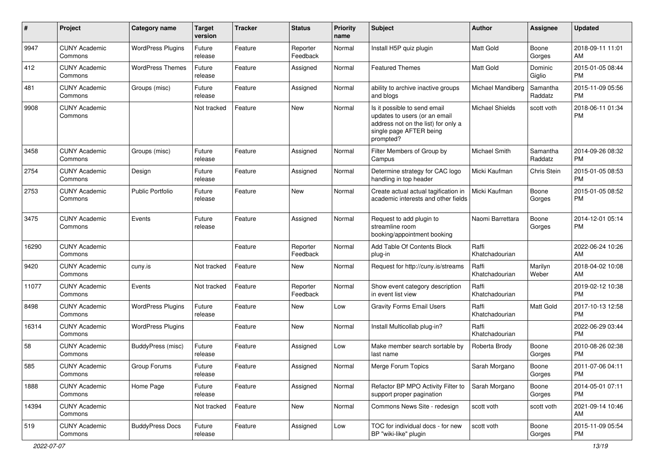| #     | Project                         | <b>Category name</b>     | <b>Target</b><br>version | <b>Tracker</b> | <b>Status</b>        | Priority<br>name | <b>Subject</b>                                                                                                                               | <b>Author</b>             | <b>Assignee</b>     | <b>Updated</b>                |
|-------|---------------------------------|--------------------------|--------------------------|----------------|----------------------|------------------|----------------------------------------------------------------------------------------------------------------------------------------------|---------------------------|---------------------|-------------------------------|
| 9947  | <b>CUNY Academic</b><br>Commons | <b>WordPress Plugins</b> | Future<br>release        | Feature        | Reporter<br>Feedback | Normal           | Install H5P quiz plugin                                                                                                                      | <b>Matt Gold</b>          | Boone<br>Gorges     | 2018-09-11 11:01<br>AM        |
| 412   | <b>CUNY Academic</b><br>Commons | <b>WordPress Themes</b>  | Future<br>release        | Feature        | Assigned             | Normal           | <b>Featured Themes</b>                                                                                                                       | <b>Matt Gold</b>          | Dominic<br>Giglio   | 2015-01-05 08:44<br><b>PM</b> |
| 481   | <b>CUNY Academic</b><br>Commons | Groups (misc)            | Future<br>release        | Feature        | Assigned             | Normal           | ability to archive inactive groups<br>and blogs                                                                                              | Michael Mandiberg         | Samantha<br>Raddatz | 2015-11-09 05:56<br><b>PM</b> |
| 9908  | <b>CUNY Academic</b><br>Commons |                          | Not tracked              | Feature        | New                  | Normal           | Is it possible to send email<br>updates to users (or an email<br>address not on the list) for only a<br>single page AFTER being<br>prompted? | <b>Michael Shields</b>    | scott voth          | 2018-06-11 01:34<br><b>PM</b> |
| 3458  | <b>CUNY Academic</b><br>Commons | Groups (misc)            | Future<br>release        | Feature        | Assigned             | Normal           | Filter Members of Group by<br>Campus                                                                                                         | Michael Smith             | Samantha<br>Raddatz | 2014-09-26 08:32<br><b>PM</b> |
| 2754  | <b>CUNY Academic</b><br>Commons | Design                   | Future<br>release        | Feature        | Assigned             | Normal           | Determine strategy for CAC logo<br>handling in top header                                                                                    | Micki Kaufman             | Chris Stein         | 2015-01-05 08:53<br><b>PM</b> |
| 2753  | <b>CUNY Academic</b><br>Commons | <b>Public Portfolio</b>  | Future<br>release        | Feature        | <b>New</b>           | Normal           | Create actual actual tagification in<br>academic interests and other fields                                                                  | Micki Kaufman             | Boone<br>Gorges     | 2015-01-05 08:52<br><b>PM</b> |
| 3475  | <b>CUNY Academic</b><br>Commons | Events                   | Future<br>release        | Feature        | Assigned             | Normal           | Request to add plugin to<br>streamline room<br>booking/appointment booking                                                                   | Naomi Barrettara          | Boone<br>Gorges     | 2014-12-01 05:14<br>PM        |
| 16290 | <b>CUNY Academic</b><br>Commons |                          |                          | Feature        | Reporter<br>Feedback | Normal           | Add Table Of Contents Block<br>plug-in                                                                                                       | Raffi<br>Khatchadourian   |                     | 2022-06-24 10:26<br>AM        |
| 9420  | <b>CUNY Academic</b><br>Commons | cuny.is                  | Not tracked              | Feature        | New                  | Normal           | Request for http://cuny.is/streams                                                                                                           | l Raffi<br>Khatchadourian | Marilyn<br>Weber    | 2018-04-02 10:08<br>AM        |
| 11077 | <b>CUNY Academic</b><br>Commons | Events                   | Not tracked              | Feature        | Reporter<br>Feedback | Normal           | Show event category description<br>in event list view                                                                                        | Raffi<br>Khatchadourian   |                     | 2019-02-12 10:38<br><b>PM</b> |
| 8498  | <b>CUNY Academic</b><br>Commons | <b>WordPress Plugins</b> | Future<br>release        | Feature        | New                  | Low              | <b>Gravity Forms Email Users</b>                                                                                                             | Raffi<br>Khatchadourian   | Matt Gold           | 2017-10-13 12:58<br><b>PM</b> |
| 16314 | <b>CUNY Academic</b><br>Commons | <b>WordPress Plugins</b> |                          | Feature        | New                  | Normal           | Install Multicollab plug-in?                                                                                                                 | Raffi<br>Khatchadourian   |                     | 2022-06-29 03:44<br><b>PM</b> |
| 58    | <b>CUNY Academic</b><br>Commons | BuddyPress (misc)        | Future<br>release        | Feature        | Assigned             | Low              | Make member search sortable by<br>last name                                                                                                  | Roberta Brody             | Boone<br>Gorges     | 2010-08-26 02:38<br><b>PM</b> |
| 585   | <b>CUNY Academic</b><br>Commons | Group Forums             | Future<br>release        | Feature        | Assigned             | Normal           | Merge Forum Topics                                                                                                                           | Sarah Morgano             | Boone<br>Gorges     | 2011-07-06 04:11<br><b>PM</b> |
| 1888  | <b>CUNY Academic</b><br>Commons | Home Page                | Future<br>release        | Feature        | Assigned             | Normal           | Refactor BP MPO Activity Filter to<br>support proper pagination                                                                              | Sarah Morgano             | Boone<br>Gorges     | 2014-05-01 07:11<br><b>PM</b> |
| 14394 | <b>CUNY Academic</b><br>Commons |                          | Not tracked              | Feature        | New                  | Normal           | Commons News Site - redesign                                                                                                                 | scott voth                | scott voth          | 2021-09-14 10:46<br>AM        |
| 519   | <b>CUNY Academic</b><br>Commons | <b>BuddyPress Docs</b>   | Future<br>release        | Feature        | Assigned             | Low              | TOC for individual docs - for new<br>BP "wiki-like" plugin                                                                                   | scott voth                | Boone<br>Gorges     | 2015-11-09 05:54<br>PM        |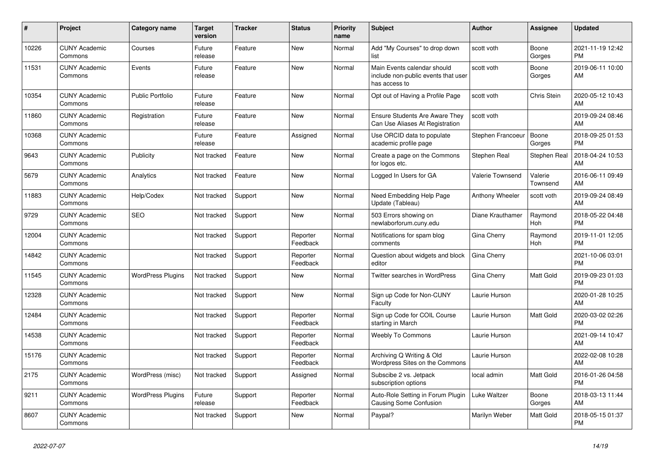| #     | Project                         | Category name            | <b>Target</b><br>version | <b>Tracker</b> | <b>Status</b>        | Priority<br>name | <b>Subject</b>                                                                      | Author            | Assignee            | <b>Updated</b>                |
|-------|---------------------------------|--------------------------|--------------------------|----------------|----------------------|------------------|-------------------------------------------------------------------------------------|-------------------|---------------------|-------------------------------|
| 10226 | <b>CUNY Academic</b><br>Commons | Courses                  | Future<br>release        | Feature        | <b>New</b>           | Normal           | Add "My Courses" to drop down<br>list                                               | scott voth        | Boone<br>Gorges     | 2021-11-19 12:42<br><b>PM</b> |
| 11531 | <b>CUNY Academic</b><br>Commons | Events                   | Future<br>release        | Feature        | <b>New</b>           | Normal           | Main Events calendar should<br>include non-public events that user<br>has access to | scott voth        | Boone<br>Gorges     | 2019-06-11 10:00<br>AM        |
| 10354 | <b>CUNY Academic</b><br>Commons | <b>Public Portfolio</b>  | Future<br>release        | Feature        | <b>New</b>           | Normal           | Opt out of Having a Profile Page                                                    | scott voth        | Chris Stein         | 2020-05-12 10:43<br>AM        |
| 11860 | <b>CUNY Academic</b><br>Commons | Registration             | Future<br>release        | Feature        | <b>New</b>           | Normal           | <b>Ensure Students Are Aware They</b><br>Can Use Aliases At Registration            | scott voth        |                     | 2019-09-24 08:46<br>AM        |
| 10368 | <b>CUNY Academic</b><br>Commons |                          | Future<br>release        | Feature        | Assigned             | Normal           | Use ORCID data to populate<br>academic profile page                                 | Stephen Francoeur | Boone<br>Gorges     | 2018-09-25 01:53<br><b>PM</b> |
| 9643  | <b>CUNY Academic</b><br>Commons | Publicity                | Not tracked              | Feature        | New                  | Normal           | Create a page on the Commons<br>for logos etc.                                      | Stephen Real      | Stephen Real        | 2018-04-24 10:53<br>AM        |
| 5679  | <b>CUNY Academic</b><br>Commons | Analytics                | Not tracked              | Feature        | <b>New</b>           | Normal           | Logged In Users for GA                                                              | Valerie Townsend  | Valerie<br>Townsend | 2016-06-11 09:49<br>AM        |
| 11883 | <b>CUNY Academic</b><br>Commons | Help/Codex               | Not tracked              | Support        | <b>New</b>           | Normal           | Need Embedding Help Page<br>Update (Tableau)                                        | Anthony Wheeler   | scott voth          | 2019-09-24 08:49<br>AM        |
| 9729  | <b>CUNY Academic</b><br>Commons | <b>SEO</b>               | Not tracked              | Support        | <b>New</b>           | Normal           | 503 Errors showing on<br>newlaborforum.cuny.edu                                     | Diane Krauthamer  | Raymond<br>Hoh      | 2018-05-22 04:48<br><b>PM</b> |
| 12004 | <b>CUNY Academic</b><br>Commons |                          | Not tracked              | Support        | Reporter<br>Feedback | Normal           | Notifications for spam blog<br>comments                                             | Gina Cherry       | Raymond<br>Hoh      | 2019-11-01 12:05<br><b>PM</b> |
| 14842 | <b>CUNY Academic</b><br>Commons |                          | Not tracked              | Support        | Reporter<br>Feedback | Normal           | Question about widgets and block<br>editor                                          | Gina Cherry       |                     | 2021-10-06 03:01<br><b>PM</b> |
| 11545 | <b>CUNY Academic</b><br>Commons | <b>WordPress Plugins</b> | Not tracked              | Support        | New                  | Normal           | <b>Twitter searches in WordPress</b>                                                | Gina Cherry       | Matt Gold           | 2019-09-23 01:03<br><b>PM</b> |
| 12328 | <b>CUNY Academic</b><br>Commons |                          | Not tracked              | Support        | <b>New</b>           | Normal           | Sign up Code for Non-CUNY<br>Faculty                                                | Laurie Hurson     |                     | 2020-01-28 10:25<br>AM        |
| 12484 | <b>CUNY Academic</b><br>Commons |                          | Not tracked              | Support        | Reporter<br>Feedback | Normal           | Sign up Code for COIL Course<br>starting in March                                   | Laurie Hurson     | Matt Gold           | 2020-03-02 02:26<br><b>PM</b> |
| 14538 | <b>CUNY Academic</b><br>Commons |                          | Not tracked              | Support        | Reporter<br>Feedback | Normal           | <b>Weebly To Commons</b>                                                            | Laurie Hurson     |                     | 2021-09-14 10:47<br>AM        |
| 15176 | <b>CUNY Academic</b><br>Commons |                          | Not tracked              | Support        | Reporter<br>Feedback | Normal           | Archiving Q Writing & Old<br>Wordpress Sites on the Commons                         | Laurie Hurson     |                     | 2022-02-08 10:28<br>AM        |
| 2175  | <b>CUNY Academic</b><br>Commons | WordPress (misc)         | Not tracked              | Support        | Assigned             | Normal           | Subscibe 2 vs. Jetpack<br>subscription options                                      | local admin       | Matt Gold           | 2016-01-26 04:58<br><b>PM</b> |
| 9211  | <b>CUNY Academic</b><br>Commons | <b>WordPress Plugins</b> | Future<br>release        | Support        | Reporter<br>Feedback | Normal           | Auto-Role Setting in Forum Plugin<br>Causing Some Confusion                         | Luke Waltzer      | Boone<br>Gorges     | 2018-03-13 11:44<br>AM        |
| 8607  | <b>CUNY Academic</b><br>Commons |                          | Not tracked              | Support        | <b>New</b>           | Normal           | Paypal?                                                                             | Marilyn Weber     | Matt Gold           | 2018-05-15 01:37<br><b>PM</b> |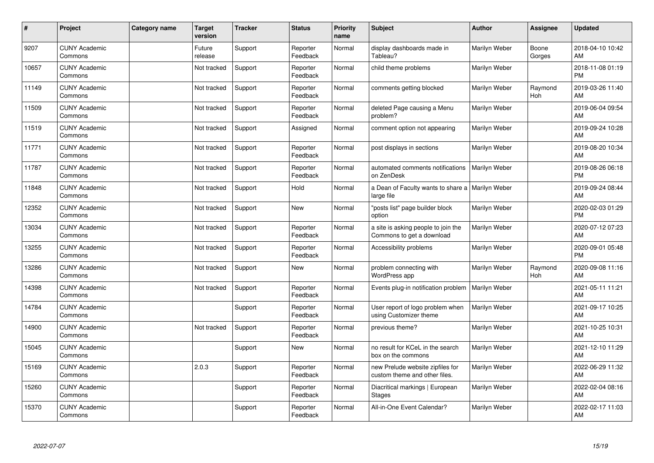| #     | Project                         | Category name | <b>Target</b><br>version | <b>Tracker</b> | <b>Status</b>        | Priority<br>name | <b>Subject</b>                                                    | <b>Author</b> | <b>Assignee</b> | <b>Updated</b>                |
|-------|---------------------------------|---------------|--------------------------|----------------|----------------------|------------------|-------------------------------------------------------------------|---------------|-----------------|-------------------------------|
| 9207  | <b>CUNY Academic</b><br>Commons |               | Future<br>release        | Support        | Reporter<br>Feedback | Normal           | display dashboards made in<br>Tableau?                            | Marilyn Weber | Boone<br>Gorges | 2018-04-10 10:42<br>AM        |
| 10657 | <b>CUNY Academic</b><br>Commons |               | Not tracked              | Support        | Reporter<br>Feedback | Normal           | child theme problems                                              | Marilyn Weber |                 | 2018-11-08 01:19<br><b>PM</b> |
| 11149 | <b>CUNY Academic</b><br>Commons |               | Not tracked              | Support        | Reporter<br>Feedback | Normal           | comments getting blocked                                          | Marilyn Weber | Raymond<br>Hoh  | 2019-03-26 11:40<br>AM        |
| 11509 | <b>CUNY Academic</b><br>Commons |               | Not tracked              | Support        | Reporter<br>Feedback | Normal           | deleted Page causing a Menu<br>problem?                           | Marilyn Weber |                 | 2019-06-04 09:54<br>AM        |
| 11519 | <b>CUNY Academic</b><br>Commons |               | Not tracked              | Support        | Assigned             | Normal           | comment option not appearing                                      | Marilyn Weber |                 | 2019-09-24 10:28<br>AM        |
| 11771 | <b>CUNY Academic</b><br>Commons |               | Not tracked              | Support        | Reporter<br>Feedback | Normal           | post displays in sections                                         | Marilyn Weber |                 | 2019-08-20 10:34<br>AM        |
| 11787 | <b>CUNY Academic</b><br>Commons |               | Not tracked              | Support        | Reporter<br>Feedback | Normal           | automated comments notifications<br>on ZenDesk                    | Marilyn Weber |                 | 2019-08-26 06:18<br><b>PM</b> |
| 11848 | <b>CUNY Academic</b><br>Commons |               | Not tracked              | Support        | Hold                 | Normal           | a Dean of Faculty wants to share a   Marilyn Weber<br>large file  |               |                 | 2019-09-24 08:44<br>AM        |
| 12352 | <b>CUNY Academic</b><br>Commons |               | Not tracked              | Support        | <b>New</b>           | Normal           | "posts list" page builder block<br>option                         | Marilyn Weber |                 | 2020-02-03 01:29<br><b>PM</b> |
| 13034 | <b>CUNY Academic</b><br>Commons |               | Not tracked              | Support        | Reporter<br>Feedback | Normal           | a site is asking people to join the<br>Commons to get a download  | Marilyn Weber |                 | 2020-07-12 07:23<br>AM        |
| 13255 | <b>CUNY Academic</b><br>Commons |               | Not tracked              | Support        | Reporter<br>Feedback | Normal           | Accessibility problems                                            | Marilyn Weber |                 | 2020-09-01 05:48<br><b>PM</b> |
| 13286 | <b>CUNY Academic</b><br>Commons |               | Not tracked              | Support        | <b>New</b>           | Normal           | problem connecting with<br>WordPress app                          | Marilyn Weber | Raymond<br>Hoh  | 2020-09-08 11:16<br>AM        |
| 14398 | <b>CUNY Academic</b><br>Commons |               | Not tracked              | Support        | Reporter<br>Feedback | Normal           | Events plug-in notification problem                               | Marilyn Weber |                 | 2021-05-11 11:21<br>AM        |
| 14784 | <b>CUNY Academic</b><br>Commons |               |                          | Support        | Reporter<br>Feedback | Normal           | User report of logo problem when<br>using Customizer theme        | Marilyn Weber |                 | 2021-09-17 10:25<br>AM        |
| 14900 | <b>CUNY Academic</b><br>Commons |               | Not tracked              | Support        | Reporter<br>Feedback | Normal           | previous theme?                                                   | Marilyn Weber |                 | 2021-10-25 10:31<br>AM        |
| 15045 | <b>CUNY Academic</b><br>Commons |               |                          | Support        | <b>New</b>           | Normal           | no result for KCeL in the search<br>box on the commons            | Marilyn Weber |                 | 2021-12-10 11:29<br>AM        |
| 15169 | <b>CUNY Academic</b><br>Commons |               | 2.0.3                    | Support        | Reporter<br>Feedback | Normal           | new Prelude website zipfiles for<br>custom theme and other files. | Marilyn Weber |                 | 2022-06-29 11:32<br>AM        |
| 15260 | <b>CUNY Academic</b><br>Commons |               |                          | Support        | Reporter<br>Feedback | Normal           | Diacritical markings   European<br><b>Stages</b>                  | Marilyn Weber |                 | 2022-02-04 08:16<br>AM        |
| 15370 | <b>CUNY Academic</b><br>Commons |               |                          | Support        | Reporter<br>Feedback | Normal           | All-in-One Event Calendar?                                        | Marilyn Weber |                 | 2022-02-17 11:03<br>AM        |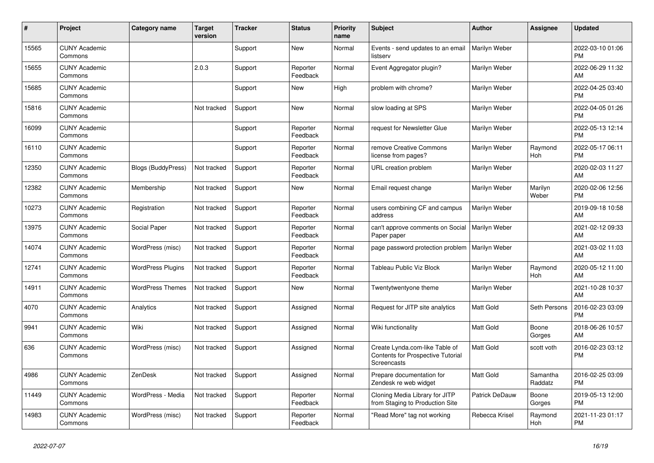| #     | Project                         | <b>Category name</b>      | <b>Target</b><br>version | <b>Tracker</b> | <b>Status</b>        | <b>Priority</b><br>name | <b>Subject</b>                                                                            | <b>Author</b>    | <b>Assignee</b>     | <b>Updated</b>                |
|-------|---------------------------------|---------------------------|--------------------------|----------------|----------------------|-------------------------|-------------------------------------------------------------------------------------------|------------------|---------------------|-------------------------------|
| 15565 | <b>CUNY Academic</b><br>Commons |                           |                          | Support        | <b>New</b>           | Normal                  | Events - send updates to an email<br>listserv                                             | Marilyn Weber    |                     | 2022-03-10 01:06<br><b>PM</b> |
| 15655 | <b>CUNY Academic</b><br>Commons |                           | 2.0.3                    | Support        | Reporter<br>Feedback | Normal                  | Event Aggregator plugin?                                                                  | Marilyn Weber    |                     | 2022-06-29 11:32<br>AM        |
| 15685 | <b>CUNY Academic</b><br>Commons |                           |                          | Support        | New                  | High                    | problem with chrome?                                                                      | Marilyn Weber    |                     | 2022-04-25 03:40<br><b>PM</b> |
| 15816 | <b>CUNY Academic</b><br>Commons |                           | Not tracked              | Support        | <b>New</b>           | Normal                  | slow loading at SPS                                                                       | Marilyn Weber    |                     | 2022-04-05 01:26<br><b>PM</b> |
| 16099 | <b>CUNY Academic</b><br>Commons |                           |                          | Support        | Reporter<br>Feedback | Normal                  | request for Newsletter Glue                                                               | Marilyn Weber    |                     | 2022-05-13 12:14<br><b>PM</b> |
| 16110 | <b>CUNY Academic</b><br>Commons |                           |                          | Support        | Reporter<br>Feedback | Normal                  | remove Creative Commons<br>license from pages?                                            | Marilyn Weber    | Raymond<br>Hoh      | 2022-05-17 06:11<br><b>PM</b> |
| 12350 | <b>CUNY Academic</b><br>Commons | <b>Blogs (BuddyPress)</b> | Not tracked              | Support        | Reporter<br>Feedback | Normal                  | URL creation problem                                                                      | Marilyn Weber    |                     | 2020-02-03 11:27<br>AM        |
| 12382 | <b>CUNY Academic</b><br>Commons | Membership                | Not tracked              | Support        | New                  | Normal                  | Email request change                                                                      | Marilyn Weber    | Marilyn<br>Weber    | 2020-02-06 12:56<br><b>PM</b> |
| 10273 | <b>CUNY Academic</b><br>Commons | Registration              | Not tracked              | Support        | Reporter<br>Feedback | Normal                  | users combining CF and campus<br>address                                                  | Marilyn Weber    |                     | 2019-09-18 10:58<br>AM        |
| 13975 | <b>CUNY Academic</b><br>Commons | Social Paper              | Not tracked              | Support        | Reporter<br>Feedback | Normal                  | can't approve comments on Social<br>Paper paper                                           | Marilyn Weber    |                     | 2021-02-12 09:33<br>AM        |
| 14074 | <b>CUNY Academic</b><br>Commons | WordPress (misc)          | Not tracked              | Support        | Reporter<br>Feedback | Normal                  | page password protection problem                                                          | Marilyn Weber    |                     | 2021-03-02 11:03<br>AM        |
| 12741 | <b>CUNY Academic</b><br>Commons | <b>WordPress Plugins</b>  | Not tracked              | Support        | Reporter<br>Feedback | Normal                  | Tableau Public Viz Block                                                                  | Marilyn Weber    | Raymond<br>Hoh      | 2020-05-12 11:00<br>AM        |
| 14911 | <b>CUNY Academic</b><br>Commons | <b>WordPress Themes</b>   | Not tracked              | Support        | <b>New</b>           | Normal                  | Twentytwentyone theme                                                                     | Marilyn Weber    |                     | 2021-10-28 10:37<br>AM        |
| 4070  | <b>CUNY Academic</b><br>Commons | Analytics                 | Not tracked              | Support        | Assigned             | Normal                  | Request for JITP site analytics                                                           | <b>Matt Gold</b> | Seth Persons        | 2016-02-23 03:09<br><b>PM</b> |
| 9941  | <b>CUNY Academic</b><br>Commons | Wiki                      | Not tracked              | Support        | Assigned             | Normal                  | Wiki functionality                                                                        | <b>Matt Gold</b> | Boone<br>Gorges     | 2018-06-26 10:57<br>AM        |
| 636   | <b>CUNY Academic</b><br>Commons | WordPress (misc)          | Not tracked              | Support        | Assigned             | Normal                  | Create Lynda.com-like Table of<br>Contents for Prospective Tutorial<br><b>Screencasts</b> | <b>Matt Gold</b> | scott voth          | 2016-02-23 03:12<br><b>PM</b> |
| 4986  | <b>CUNY Academic</b><br>Commons | ZenDesk                   | Not tracked              | Support        | Assigned             | Normal                  | Prepare documentation for<br>Zendesk re web widget                                        | Matt Gold        | Samantha<br>Raddatz | 2016-02-25 03:09<br><b>PM</b> |
| 11449 | <b>CUNY Academic</b><br>Commons | WordPress - Media         | Not tracked              | Support        | Reporter<br>Feedback | Normal                  | Cloning Media Library for JITP<br>from Staging to Production Site                         | Patrick DeDauw   | Boone<br>Gorges     | 2019-05-13 12:00<br><b>PM</b> |
| 14983 | <b>CUNY Academic</b><br>Commons | WordPress (misc)          | Not tracked              | Support        | Reporter<br>Feedback | Normal                  | "Read More" tag not working                                                               | Rebecca Krisel   | Raymond<br>Hoh      | 2021-11-23 01:17<br><b>PM</b> |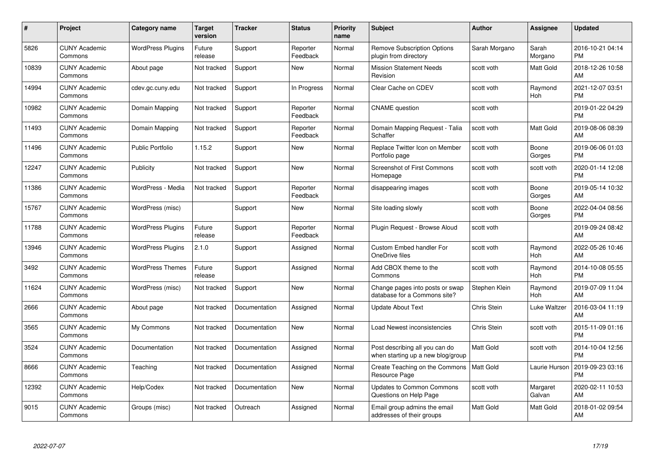| #     | Project                         | <b>Category name</b>     | <b>Target</b><br>version | <b>Tracker</b> | <b>Status</b>        | <b>Priority</b><br>name | <b>Subject</b>                                                      | <b>Author</b>    | <b>Assignee</b>    | <b>Updated</b>                |
|-------|---------------------------------|--------------------------|--------------------------|----------------|----------------------|-------------------------|---------------------------------------------------------------------|------------------|--------------------|-------------------------------|
| 5826  | <b>CUNY Academic</b><br>Commons | <b>WordPress Plugins</b> | Future<br>release        | Support        | Reporter<br>Feedback | Normal                  | <b>Remove Subscription Options</b><br>plugin from directory         | Sarah Morgano    | Sarah<br>Morgano   | 2016-10-21 04:14<br><b>PM</b> |
| 10839 | <b>CUNY Academic</b><br>Commons | About page               | Not tracked              | Support        | New                  | Normal                  | <b>Mission Statement Needs</b><br>Revision                          | scott voth       | Matt Gold          | 2018-12-26 10:58<br>AM        |
| 14994 | <b>CUNY Academic</b><br>Commons | cdev.gc.cuny.edu         | Not tracked              | Support        | In Progress          | Normal                  | Clear Cache on CDEV                                                 | scott voth       | Raymond<br>Hoh     | 2021-12-07 03:51<br><b>PM</b> |
| 10982 | <b>CUNY Academic</b><br>Commons | Domain Mapping           | Not tracked              | Support        | Reporter<br>Feedback | Normal                  | <b>CNAME</b> question                                               | scott voth       |                    | 2019-01-22 04:29<br><b>PM</b> |
| 11493 | <b>CUNY Academic</b><br>Commons | Domain Mapping           | Not tracked              | Support        | Reporter<br>Feedback | Normal                  | Domain Mapping Request - Talia<br>Schaffer                          | scott voth       | Matt Gold          | 2019-08-06 08:39<br>AM        |
| 11496 | <b>CUNY Academic</b><br>Commons | <b>Public Portfolio</b>  | 1.15.2                   | Support        | <b>New</b>           | Normal                  | Replace Twitter Icon on Member<br>Portfolio page                    | scott voth       | Boone<br>Gorges    | 2019-06-06 01:03<br><b>PM</b> |
| 12247 | <b>CUNY Academic</b><br>Commons | Publicity                | Not tracked              | Support        | New                  | Normal                  | <b>Screenshot of First Commons</b><br>Homepage                      | scott voth       | scott voth         | 2020-01-14 12:08<br><b>PM</b> |
| 11386 | <b>CUNY Academic</b><br>Commons | WordPress - Media        | Not tracked              | Support        | Reporter<br>Feedback | Normal                  | disappearing images                                                 | scott voth       | Boone<br>Gorges    | 2019-05-14 10:32<br>AM        |
| 15767 | <b>CUNY Academic</b><br>Commons | WordPress (misc)         |                          | Support        | New                  | Normal                  | Site loading slowly                                                 | scott voth       | Boone<br>Gorges    | 2022-04-04 08:56<br><b>PM</b> |
| 11788 | <b>CUNY Academic</b><br>Commons | <b>WordPress Plugins</b> | Future<br>release        | Support        | Reporter<br>Feedback | Normal                  | Plugin Request - Browse Aloud                                       | scott voth       |                    | 2019-09-24 08:42<br>AM        |
| 13946 | <b>CUNY Academic</b><br>Commons | <b>WordPress Plugins</b> | 2.1.0                    | Support        | Assigned             | Normal                  | <b>Custom Embed handler For</b><br>OneDrive files                   | scott voth       | Raymond<br>Hoh     | 2022-05-26 10:46<br>AM        |
| 3492  | <b>CUNY Academic</b><br>Commons | <b>WordPress Themes</b>  | Future<br>release        | Support        | Assigned             | Normal                  | Add CBOX theme to the<br>Commons                                    | scott voth       | Raymond<br>Hoh     | 2014-10-08 05:55<br><b>PM</b> |
| 11624 | <b>CUNY Academic</b><br>Commons | WordPress (misc)         | Not tracked              | Support        | New                  | Normal                  | Change pages into posts or swap<br>database for a Commons site?     | Stephen Klein    | Raymond<br>Hoh     | 2019-07-09 11:04<br>AM        |
| 2666  | <b>CUNY Academic</b><br>Commons | About page               | Not tracked              | Documentation  | Assigned             | Normal                  | <b>Update About Text</b>                                            | Chris Stein      | Luke Waltzer       | 2016-03-04 11:19<br>AM        |
| 3565  | <b>CUNY Academic</b><br>Commons | My Commons               | Not tracked              | Documentation  | New                  | Normal                  | Load Newest inconsistencies                                         | Chris Stein      | scott voth         | 2015-11-09 01:16<br><b>PM</b> |
| 3524  | <b>CUNY Academic</b><br>Commons | Documentation            | Not tracked              | Documentation  | Assigned             | Normal                  | Post describing all you can do<br>when starting up a new blog/group | <b>Matt Gold</b> | scott voth         | 2014-10-04 12:56<br><b>PM</b> |
| 8666  | <b>CUNY Academic</b><br>Commons | Teaching                 | Not tracked              | Documentation  | Assigned             | Normal                  | Create Teaching on the Commons<br>Resource Page                     | Matt Gold        | Laurie Hurson      | 2019-09-23 03:16<br><b>PM</b> |
| 12392 | <b>CUNY Academic</b><br>Commons | Help/Codex               | Not tracked              | Documentation  | New                  | Normal                  | <b>Updates to Common Commons</b><br>Questions on Help Page          | scott voth       | Margaret<br>Galvan | 2020-02-11 10:53<br>AM        |
| 9015  | <b>CUNY Academic</b><br>Commons | Groups (misc)            | Not tracked              | Outreach       | Assigned             | Normal                  | Email group admins the email<br>addresses of their groups           | <b>Matt Gold</b> | Matt Gold          | 2018-01-02 09:54<br>AM        |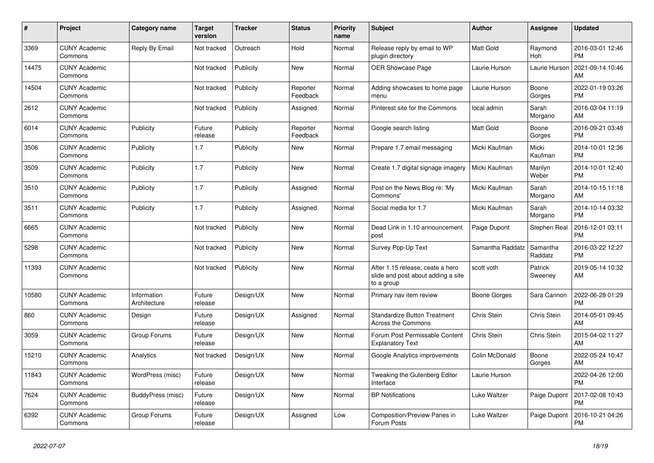| #     | <b>Project</b>                  | <b>Category name</b>        | <b>Target</b><br>version | <b>Tracker</b> | <b>Status</b>        | <b>Priority</b><br>name | <b>Subject</b>                                                                       | <b>Author</b>    | Assignee            | <b>Updated</b>                |
|-------|---------------------------------|-----------------------------|--------------------------|----------------|----------------------|-------------------------|--------------------------------------------------------------------------------------|------------------|---------------------|-------------------------------|
| 3369  | <b>CUNY Academic</b><br>Commons | Reply By Email              | Not tracked              | Outreach       | Hold                 | Normal                  | Release reply by email to WP<br>plugin directory                                     | <b>Matt Gold</b> | Raymond<br>Hoh      | 2016-03-01 12:46<br><b>PM</b> |
| 14475 | <b>CUNY Academic</b><br>Commons |                             | Not tracked              | Publicity      | New                  | Normal                  | OER Showcase Page                                                                    | Laurie Hurson    | Laurie Hurson       | 2021-09-14 10:46<br>AM        |
| 14504 | <b>CUNY Academic</b><br>Commons |                             | Not tracked              | Publicity      | Reporter<br>Feedback | Normal                  | Adding showcases to home page<br>menu                                                | Laurie Hurson    | Boone<br>Gorges     | 2022-01-19 03:26<br><b>PM</b> |
| 2612  | <b>CUNY Academic</b><br>Commons |                             | Not tracked              | Publicity      | Assigned             | Normal                  | Pinterest site for the Commons                                                       | local admin      | Sarah<br>Morgano    | 2016-03-04 11:19<br>AM        |
| 6014  | <b>CUNY Academic</b><br>Commons | Publicity                   | Future<br>release        | Publicity      | Reporter<br>Feedback | Normal                  | Google search listing                                                                | <b>Matt Gold</b> | Boone<br>Gorges     | 2016-09-21 03:48<br><b>PM</b> |
| 3506  | <b>CUNY Academic</b><br>Commons | Publicity                   | 1.7                      | Publicity      | New                  | Normal                  | Prepare 1.7 email messaging                                                          | Micki Kaufman    | Micki<br>Kaufman    | 2014-10-01 12:36<br><b>PM</b> |
| 3509  | <b>CUNY Academic</b><br>Commons | Publicity                   | 1.7                      | Publicity      | <b>New</b>           | Normal                  | Create 1.7 digital signage imagery                                                   | Micki Kaufman    | Marilyn<br>Weber    | 2014-10-01 12:40<br><b>PM</b> |
| 3510  | <b>CUNY Academic</b><br>Commons | Publicity                   | 1.7                      | Publicity      | Assigned             | Normal                  | Post on the News Blog re: 'My<br>Commons'                                            | Micki Kaufman    | Sarah<br>Morgano    | 2014-10-15 11:18<br>AM        |
| 3511  | <b>CUNY Academic</b><br>Commons | Publicity                   | 1.7                      | Publicity      | Assigned             | Normal                  | Social media for 1.7                                                                 | Micki Kaufman    | Sarah<br>Morgano    | 2014-10-14 03:32<br><b>PM</b> |
| 6665  | <b>CUNY Academic</b><br>Commons |                             | Not tracked              | Publicity      | New                  | Normal                  | Dead Link in 1.10 announcement<br>post                                               | Paige Dupont     | Stephen Real        | 2016-12-01 03:11<br><b>PM</b> |
| 5298  | <b>CUNY Academic</b><br>Commons |                             | Not tracked              | Publicity      | <b>New</b>           | Normal                  | Survey Pop-Up Text                                                                   | Samantha Raddatz | Samantha<br>Raddatz | 2016-03-22 12:27<br><b>PM</b> |
| 11393 | <b>CUNY Academic</b><br>Commons |                             | Not tracked              | Publicity      | New                  | Normal                  | After 1.15 release, ceate a hero<br>slide and post about adding a site<br>to a group | scott voth       | Patrick<br>Sweeney  | 2019-05-14 10:32<br>AM        |
| 10580 | <b>CUNY Academic</b><br>Commons | Information<br>Architecture | Future<br>release        | Design/UX      | <b>New</b>           | Normal                  | Primary nav item review                                                              | Boone Gorges     | Sara Cannon         | 2022-06-28 01:29<br><b>PM</b> |
| 860   | <b>CUNY Academic</b><br>Commons | Design                      | Future<br>release        | Design/UX      | Assigned             | Normal                  | <b>Standardize Button Treatment</b><br>Across the Commons                            | Chris Stein      | Chris Stein         | 2014-05-01 09:45<br>AM        |
| 3059  | <b>CUNY Academic</b><br>Commons | Group Forums                | Future<br>release        | Design/UX      | New                  | Normal                  | Forum Post Permissable Content<br><b>Explanatory Text</b>                            | Chris Stein      | Chris Stein         | 2015-04-02 11:27<br>AM        |
| 15210 | <b>CUNY Academic</b><br>Commons | Analytics                   | Not tracked              | Design/UX      | <b>New</b>           | Normal                  | Google Analytics improvements                                                        | Colin McDonald   | Boone<br>Gorges     | 2022-05-24 10:47<br>AM        |
| 11843 | <b>CUNY Academic</b><br>Commons | WordPress (misc)            | Future<br>release        | Design/UX      | <b>New</b>           | Normal                  | Tweaking the Gutenberg Editor<br>Interface                                           | Laurie Hurson    |                     | 2022-04-26 12:00<br><b>PM</b> |
| 7624  | <b>CUNY Academic</b><br>Commons | BuddyPress (misc)           | Future<br>release        | Design/UX      | New                  | Normal                  | <b>BP Notifications</b>                                                              | Luke Waltzer     | Paige Dupont        | 2017-02-08 10:43<br><b>PM</b> |
| 6392  | <b>CUNY Academic</b><br>Commons | Group Forums                | Future<br>release        | Design/UX      | Assigned             | Low                     | Composition/Preview Panes in<br>Forum Posts                                          | Luke Waltzer     | Paige Dupont        | 2016-10-21 04:26<br><b>PM</b> |